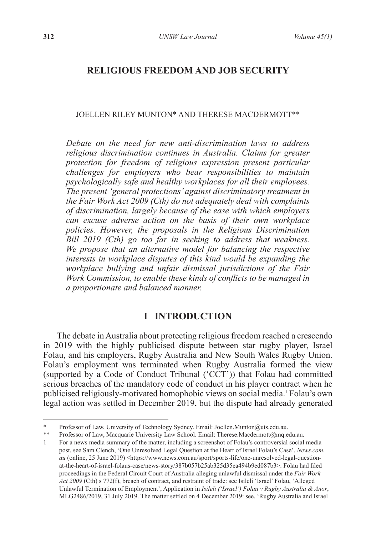# **RELIGIOUS FREEDOM AND JOB SECURITY**

#### JOELLEN RILEY MUNTON\* AND THERESE MACDERMOTT\*\*

*Debate on the need for new anti-discrimination laws to address religious discrimination continues in Australia. Claims for greater protection for freedom of religious expression present particular challenges for employers who bear responsibilities to maintain psychologically safe and healthy workplaces for all their employees. The present 'general protections' against discriminatory treatment in the Fair Work Act 2009 (Cth) do not adequately deal with complaints of discrimination, largely because of the ease with which employers can excuse adverse action on the basis of their own workplace policies. However, the proposals in the Religious Discrimination Bill 2019 (Cth) go too far in seeking to address that weakness. We propose that an alternative model for balancing the respective interests in workplace disputes of this kind would be expanding the workplace bullying and unfair dismissal jurisdictions of the Fair Work Commission, to enable these kinds of conflicts to be managed in a proportionate and balanced manner.*

## **I INTRODUCTION**

The debate in Australia about protecting religious freedom reached a crescendo in 2019 with the highly publicised dispute between star rugby player, Israel Folau, and his employers, Rugby Australia and New South Wales Rugby Union. Folau's employment was terminated when Rugby Australia formed the view (supported by a Code of Conduct Tribunal  $({}^{\circ}\tilde{C}\tilde{T}$ )) that Folau had committed serious breaches of the mandatory code of conduct in his player contract when he publicised religiously-motivated homophobic views on social media.1 Folau's own legal action was settled in December 2019, but the dispute had already generated

<sup>\*</sup> Professor of Law, University of Technology Sydney. Email: Joellen.Munton@uts.edu.au.<br>\*\* Professor of Law Macquaria University Law School. Email: Therese Macdermott@ma.a

Professor of Law, Macquarie University Law School. Email: Therese.Macdermott@mq.edu.au.

<sup>1</sup> For a news media summary of the matter, including a screenshot of Folau's controversial social media post, see Sam Clench, 'One Unresolved Legal Question at the Heart of Israel Folau's Case', *News.com. au* (online, 25 June 2019) <https://www.news.com.au/sport/sports-life/one-unresolved-legal-questionat-the-heart-of-israel-folaus-case/news-story/387b057b25ab325d35ea494b9ed087b3>. Folau had filed proceedings in the Federal Circuit Court of Australia alleging unlawful dismissal under the *Fair Work Act 2009* (Cth) s 772(f), breach of contract, and restraint of trade: see Isileli 'Israel' Folau, 'Alleged Unlawful Termination of Employment', Application in *Isileli ('Israel') Folau v Rugby Australia & Anor*, MLG2486/2019, 31 July 2019. The matter settled on 4 December 2019: see, 'Rugby Australia and Israel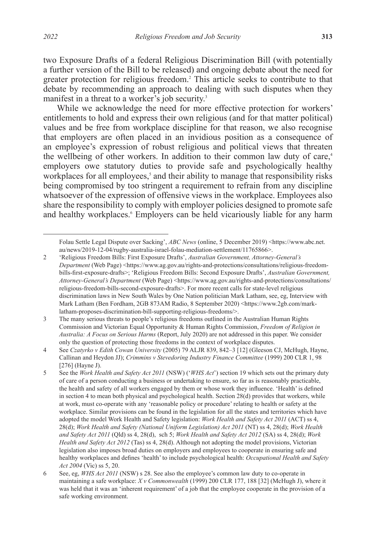two Exposure Drafts of a federal Religious Discrimination Bill (with potentially a further version of the Bill to be released) and ongoing debate about the need for greater protection for religious freedom.<sup>2</sup> This article seeks to contribute to that debate by recommending an approach to dealing with such disputes when they manifest in a threat to a worker's job security.<sup>3</sup>

While we acknowledge the need for more effective protection for workers' entitlements to hold and express their own religious (and for that matter political) values and be free from workplace discipline for that reason, we also recognise that employers are often placed in an invidious position as a consequence of an employee's expression of robust religious and political views that threaten the wellbeing of other workers. In addition to their common law duty of care,<sup>4</sup> employers owe statutory duties to provide safe and psychologically healthy workplaces for all employees,<sup>5</sup> and their ability to manage that responsibility risks being compromised by too stringent a requirement to refrain from any discipline whatsoever of the expression of offensive views in the workplace. Employees also share the responsibility to comply with employer policies designed to promote safe and healthy workplaces.<sup>6</sup> Employers can be held vicariously liable for any harm

Folau Settle Legal Dispute over Sacking', *ABC News* (online, 5 December 2019) <https://www.abc.net. au/news/2019-12-04/rugby-australia-israel-folau-mediation-settlement/11765866>.

<sup>2</sup> 'Religious Freedom Bills: First Exposure Drafts', *Australian Government, Attorney-General's Department* (Web Page) <https://www.ag.gov.au/rights-and-protections/consultations/religious-freedombills-first-exposure-drafts>; 'Religious Freedom Bills: Second Exposure Drafts', *Australian Government, Attorney-General's Department* (Web Page) <https://www.ag.gov.au/rights-and-protections/consultations/ religious-freedom-bills-second-exposure-drafts>. For more recent calls for state-level religious discrimination laws in New South Wales by One Nation politician Mark Latham, see, eg, Interview with Mark Latham (Ben Fordham, 2GB 873AM Radio, 8 September 2020) <https://www.2gb.com/marklatham-proposes-discrimination-bill-supporting-religious-freedoms/>.

<sup>3</sup> The many serious threats to people's religious freedoms outlined in the Australian Human Rights Commission and Victorian Equal Opportunity & Human Rights Commission, *Freedom of Religion in Australia: A Focus on Serious Harms* (Report, July 2020) are not addressed in this paper. We consider only the question of protecting those freedoms in the context of workplace disputes.

<sup>4</sup> See *Czatyrko v Edith Cowan University* (2005) 79 ALJR 839, 842–3 [12] (Gleeson CJ, McHugh, Hayne, Callinan and Heydon JJ); *Crimmins v Stevedoring Industry Finance Committee* (1999) 200 CLR 1, 98 [276] (Havne J).

<sup>5</sup> See the *Work Health and Safety Act 2011* (NSW) ('*WHS Act*') section 19 which sets out the primary duty of care of a person conducting a business or undertaking to ensure, so far as is reasonably practicable, the health and safety of all workers engaged by them or whose work they influence. 'Health' is defined in section 4 to mean both physical and psychological health. Section 28(d) provides that workers, while at work, must co-operate with any 'reasonable policy or procedure' relating to health or safety at the workplace. Similar provisions can be found in the legislation for all the states and territories which have adopted the model Work Health and Safety legislation: *Work Health and Safety Act 2011* (ACT) ss 4, 28(d); *Work Health and Safety (National Uniform Legislation) Act 2011* (NT) ss 4, 28(d); *Work Health and Safety Act 2011* (Qld) ss 4, 28(d), sch 5; *Work Health and Safety Act 2012* (SA) ss 4, 28(d); *Work Health and Safety Act 2012* (Tas) ss 4, 28(d). Although not adopting the model provisions, Victorian legislation also imposes broad duties on employers and employees to cooperate in ensuring safe and healthy workplaces and defines 'health' to include psychological health: *Occupational Health and Safety Act 2004* (Vic) ss 5, 20.

<sup>6</sup> See, eg, *WHS Act 2011* (NSW) s 28. See also the employee's common law duty to co-operate in maintaining a safe workplace: *X v Commonwealth* (1999) 200 CLR 177, 188 [32] (McHugh J), where it was held that it was an 'inherent requirement' of a job that the employee cooperate in the provision of a safe working environment.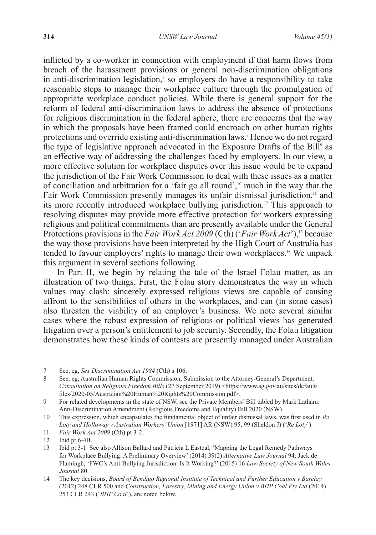inflicted by a co-worker in connection with employment if that harm flows from breach of the harassment provisions or general non-discrimination obligations in anti-discrimination legislation,<sup>7</sup> so employers do have a responsibility to take reasonable steps to manage their workplace culture through the promulgation of appropriate workplace conduct policies. While there is general support for the reform of federal anti-discrimination laws to address the absence of protections for religious discrimination in the federal sphere, there are concerns that the way in which the proposals have been framed could encroach on other human rights protections and override existing anti-discrimination laws.<sup>8</sup> Hence we do not regard the type of legislative approach advocated in the Exposure Drafts of the Bill<sup>9</sup> as an effective way of addressing the challenges faced by employers. In our view, a more effective solution for workplace disputes over this issue would be to expand the jurisdiction of the Fair Work Commission to deal with these issues as a matter of conciliation and arbitration for a 'fair go all round',10 much in the way that the Fair Work Commission presently manages its unfair dismissal jurisdiction, $<sup>11</sup>$  and</sup> its more recently introduced workplace bullying jurisdiction.12 This approach to resolving disputes may provide more effective protection for workers expressing religious and political commitments than are presently available under the General Protections provisions in the *Fair Work Act 2009* (Cth) (*'Fair Work Act'*),<sup>13</sup> because the way those provisions have been interpreted by the High Court of Australia has tended to favour employers' rights to manage their own workplaces.14 We unpack this argument in several sections following.

In Part II, we begin by relating the tale of the Israel Folau matter, as an illustration of two things. First, the Folau story demonstrates the way in which values may clash: sincerely expressed religious views are capable of causing affront to the sensibilities of others in the workplaces, and can (in some cases) also threaten the viability of an employer's business. We note several similar cases where the robust expression of religious or political views has generated litigation over a person's entitlement to job security. Secondly, the Folau litigation demonstrates how these kinds of contests are presently managed under Australian

11 *Fair Work Act 2009* (Cth) pt 3-2.

<sup>7</sup> See, eg, *Sex Discrimination Act 1984* (Cth) s 106.

<sup>8</sup> See, eg, Australian Human Rights Commission, Submission to the Attorney-General's Department, *Consultation on Religious Freedom Bills* (27 September 2019) <https://www.ag.gov.au/sites/default/ files/2020-05/Australian%20Human%20Rights%20Commission.pdf>.

<sup>9</sup> For related developments in the state of NSW, see the Private Members' Bill tabled by Mark Latham: Anti-Discrimination Amendment (Religious Freedoms and Equality) Bill 2020 (NSW).

<sup>10</sup> This expression, which encapsulates the fundamental object of unfair dismissal laws, was first used in *Re Loty and Holloway v Australian Workers' Union* [1971] AR (NSW) 95, 99 (Sheldon J) ('*Re Loty*').

<sup>12</sup> Ibid pt 6-4B.

<sup>13</sup> Ibid pt 3-1. See also Allison Ballard and Patricia L Easteal, 'Mapping the Legal Remedy Pathways for Workplace Bullying: A Preliminary Overview' (2014) 39(2) *Alternative Law Journal* 94; Jack de Flamingh, 'FWC's Anti-Bullying Jurisdiction: Is It Working?' (2015) 16 *Law Society of New South Wales Journal* 80.

<sup>14</sup> The key decisions, *Board of Bendigo Regional Institute of Technical and Further Education v Barclay* (2012) 248 CLR 500 and *Construction, Forestry, Mining and Energy Union v BHP Coal Pty Ltd* (2014) 253 CLR 243 ('*BHP Coal*'), are noted below.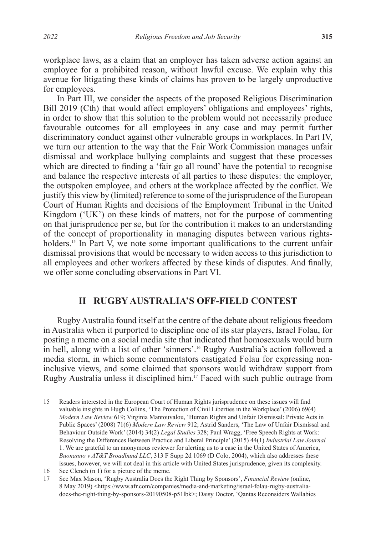workplace laws, as a claim that an employer has taken adverse action against an employee for a prohibited reason, without lawful excuse. We explain why this avenue for litigating these kinds of claims has proven to be largely unproductive for employees.

In Part III, we consider the aspects of the proposed Religious Discrimination Bill 2019 (Cth) that would affect employers' obligations and employees' rights, in order to show that this solution to the problem would not necessarily produce favourable outcomes for all employees in any case and may permit further discriminatory conduct against other vulnerable groups in workplaces. In Part IV, we turn our attention to the way that the Fair Work Commission manages unfair dismissal and workplace bullying complaints and suggest that these processes which are directed to finding a 'fair go all round' have the potential to recognise and balance the respective interests of all parties to these disputes: the employer, the outspoken employee, and others at the workplace affected by the conflict. We justify this view by (limited) reference to some of the jurisprudence of the European Court of Human Rights and decisions of the Employment Tribunal in the United Kingdom ('UK') on these kinds of matters, not for the purpose of commenting on that jurisprudence per se, but for the contribution it makes to an understanding of the concept of proportionality in managing disputes between various rightsholders.<sup>15</sup> In Part  $\hat{V}$ , we note some important qualifications to the current unfair dismissal provisions that would be necessary to widen access to this jurisdiction to all employees and other workers affected by these kinds of disputes. And finally, we offer some concluding observations in Part VI.

# **II RUGBY AUSTRALIA'S OFF-FIELD CONTEST**

Rugby Australia found itself at the centre of the debate about religious freedom in Australia when it purported to discipline one of its star players, Israel Folau, for posting a meme on a social media site that indicated that homosexuals would burn in hell, along with a list of other 'sinners'.16 Rugby Australia's action followed a media storm, in which some commentators castigated Folau for expressing noninclusive views, and some claimed that sponsors would withdraw support from Rugby Australia unless it disciplined him.<sup>17</sup> Faced with such public outrage from

<sup>15</sup> Readers interested in the European Court of Human Rights jurisprudence on these issues will find valuable insights in Hugh Collins, 'The Protection of Civil Liberties in the Workplace' (2006) 69(4) *Modern Law Review* 619; Virginia Mantouvalou, 'Human Rights and Unfair Dismissal: Private Acts in Public Spaces' (2008) 71(6) *Modern Law Review* 912; Astrid Sanders, 'The Law of Unfair Dismissal and Behaviour Outside Work' (2014) 34(2) *Legal Studies* 328; Paul Wragg, 'Free Speech Rights at Work: Resolving the Differences Between Practice and Liberal Principle' (2015) 44(1) *Industrial Law Journal* 1. We are grateful to an anonymous reviewer for alerting us to a case in the United States of America, *Buonanno v AT&T Broadband LLC*, 313 F Supp 2d 1069 (D Colo, 2004), which also addresses these issues, however, we will not deal in this article with United States jurisprudence, given its complexity.

<sup>16</sup> See Clench (n 1) for a picture of the meme.

<sup>17</sup> See Max Mason, 'Rugby Australia Does the Right Thing by Sponsors', *Financial Review* (online, 8 May 2019) <https://www.afr.com/companies/media-and-marketing/israel-folau-rugby-australiadoes-the-right-thing-by-sponsors-20190508-p51lbk>; Daisy Doctor, 'Qantas Reconsiders Wallabies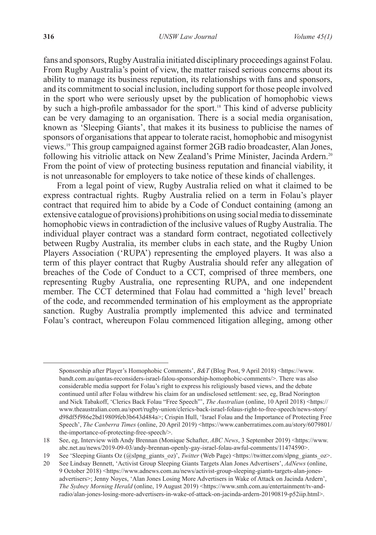fans and sponsors, Rugby Australia initiated disciplinary proceedings against Folau. From Rugby Australia's point of view, the matter raised serious concerns about its ability to manage its business reputation, its relationships with fans and sponsors, and its commitment to social inclusion, including support for those people involved in the sport who were seriously upset by the publication of homophobic views by such a high-profile ambassador for the sport.<sup>18</sup> This kind of adverse publicity can be very damaging to an organisation. There is a social media organisation, known as 'Sleeping Giants', that makes it its business to publicise the names of sponsors of organisations that appear to tolerate racist, homophobic and misogynist views.19 This group campaigned against former 2GB radio broadcaster, Alan Jones, following his vitriolic attack on New Zealand's Prime Minister, Jacinda Ardern.20 From the point of view of protecting business reputation and financial viability, it is not unreasonable for employers to take notice of these kinds of challenges.

From a legal point of view, Rugby Australia relied on what it claimed to be express contractual rights. Rugby Australia relied on a term in Folau's player contract that required him to abide by a Code of Conduct containing (among an extensive catalogue of provisions) prohibitions on using social media to disseminate homophobic views in contradiction of the inclusive values of Rugby Australia. The individual player contract was a standard form contract, negotiated collectively between Rugby Australia, its member clubs in each state, and the Rugby Union Players Association ('RUPA') representing the employed players. It was also a term of this player contract that Rugby Australia should refer any allegation of breaches of the Code of Conduct to a CCT, comprised of three members, one representing Rugby Australia, one representing RUPA, and one independent member. The CCT determined that Folau had committed a 'high level' breach of the code, and recommended termination of his employment as the appropriate sanction. Rugby Australia promptly implemented this advice and terminated Folau's contract, whereupon Folau commenced litigation alleging, among other

Sponsorship after Player's Homophobic Comments', *B&T* (Blog Post, 9 April 2018) <https://www. bandt.com.au/qantas-reconsiders-israel-falou-sponsorship-homophobic-comments/>. There was also considerable media support for Folau's right to express his religiously based views, and the debate continued until after Folau withdrew his claim for an undisclosed settlement: see, eg, Brad Norington and Nick Tabakoff, 'Clerics Back Folau "Free Speech"', *The Australian* (online, 10 April 2018) <https:// www.theaustralian.com.au/sport/rugby-union/clerics-back-israel-folaus-right-to-free-speech/news-story/ d98df5f986e2bd19809feb3b643d484a>; Crispin Hull, 'Israel Folau and the Importance of Protecting Free Speech', *The Canberra Times* (online, 20 April 2019) <https://www.canberratimes.com.au/story/6079801/ the-importance-of-protecting-free-speech/>.

<sup>18</sup> See, eg, Interview with Andy Brennan (Monique Schafter, *ABC News*, 3 September 2019) <https://www. abc.net.au/news/2019-09-03/andy-brennan-openly-gay-israel-folau-awful-comments/11474590>.

<sup>19</sup> See 'Sleeping Giants Oz (@slpng\_giants\_oz)', *Twitter* (Web Page) <https://twitter.com/slpng\_giants\_oz>.

<sup>20</sup> See Lindsay Bennett, 'Activist Group Sleeping Giants Targets Alan Jones Advertisers', *AdNews* (online, 9 October 2018) <https://www.adnews.com.au/news/activist-group-sleeping-giants-targets-alan-jonesadvertisers>; Jenny Noyes, 'Alan Jones Losing More Advertisers in Wake of Attack on Jacinda Ardern', *The Sydney Morning Herald* (online, 19 August 2019) <https://www.smh.com.au/entertainment/tv-andradio/alan-jones-losing-more-advertisers-in-wake-of-attack-on-jacinda-ardern-20190819-p52iip.html>.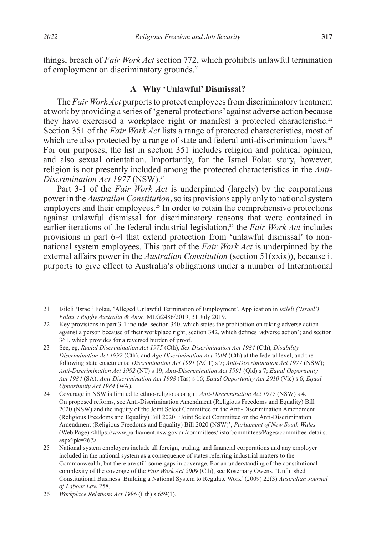things, breach of *Fair Work Act* section 772, which prohibits unlawful termination of employment on discriminatory grounds.<sup>21</sup>

#### **A Why 'Unlawful' Dismissal?**

The *Fair Work Act* purports to protect employees from discriminatory treatment at work by providing a series of 'general protections' against adverse action because they have exercised a workplace right or manifest a protected characteristic.<sup>22</sup> Section 351 of the *Fair Work Act* lists a range of protected characteristics, most of which are also protected by a range of state and federal anti-discrimination laws.<sup>23</sup> For our purposes, the list in section 351 includes religion and political opinion, and also sexual orientation. Importantly, for the Israel Folau story, however, religion is not presently included among the protected characteristics in the *Anti-Discrimination Act 1977* (NSW).<sup>24</sup>

Part 3-1 of the *Fair Work Act* is underpinned (largely) by the corporations power in the *Australian Constitution*, so its provisions apply only to national system employers and their employees.<sup>25</sup> In order to retain the comprehensive protections against unlawful dismissal for discriminatory reasons that were contained in earlier iterations of the federal industrial legislation,<sup>26</sup> the *Fair Work Act* includes provisions in part 6-4 that extend protection from 'unlawful dismissal' to nonnational system employees. This part of the *Fair Work Act* is underpinned by the external affairs power in the *Australian Constitution* (section 51(xxix)), because it purports to give effect to Australia's obligations under a number of International

<sup>21</sup> Isileli 'Israel' Folau, 'Alleged Unlawful Termination of Employment', Application in *Isileli ('Israel') Folau v Rugby Australia & Anor*, MLG2486/2019, 31 July 2019.

<sup>22</sup> Key provisions in part 3-1 include: section 340, which states the prohibition on taking adverse action against a person because of their workplace right; section 342, which defines 'adverse action'; and section 361, which provides for a reversed burden of proof.

<sup>23</sup> See, eg, *Racial Discrimination Act 1975* (Cth), *Sex Discrimination Act 1984* (Cth), *Disability Discrimination Act 1992* (Cth), and *Age Discrimination Act 2004* (Cth) at the federal level, and the following state enactments: *Discrimination Act 1991* (ACT) s 7; *Anti-Discrimination Act 1977* (NSW); *Anti-Discrimination Act 1992* (NT) s 19; *Anti-Discrimination Act 1991* (Qld) s 7; *Equal Opportunity Act 1984* (SA); *Anti-Discrimination Act 1998* (Tas) s 16; *Equal Opportunity Act 2010* (Vic) s 6; *Equal Opportunity Act 1984* (WA).

<sup>24</sup> Coverage in NSW is limited to ethno-religious origin: *Anti-Discrimination Act 1977* (NSW) s 4. On proposed reforms, see Anti-Discrimination Amendment (Religious Freedoms and Equality) Bill 2020 (NSW) and the inquiry of the Joint Select Committee on the Anti-Discrimination Amendment (Religious Freedoms and Equality) Bill 2020: 'Joint Select Committee on the Anti-Discrimination Amendment (Religious Freedoms and Equality) Bill 2020 (NSW)', *Parliament of New South Wales*  (Web Page) <https://www.parliament.nsw.gov.au/committees/listofcommittees/Pages/committee-details. aspx?pk=267>.

<sup>25</sup> National system employers include all foreign, trading, and financial corporations and any employer included in the national system as a consequence of states referring industrial matters to the Commonwealth, but there are still some gaps in coverage. For an understanding of the constitutional complexity of the coverage of the *Fair Work Act 2009* (Cth), see Rosemary Owens, 'Unfinished Constitutional Business: Building a National System to Regulate Work' (2009) 22(3) *Australian Journal of Labour Law* 258.

<sup>26</sup> *Workplace Relations Act 1996* (Cth) s 659(1).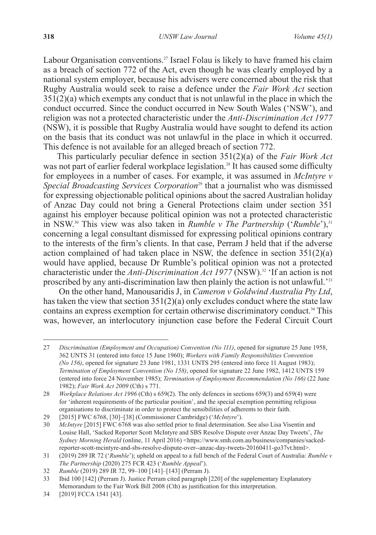Labour Organisation conventions.<sup>27</sup> Israel Folau is likely to have framed his claim as a breach of section 772 of the Act, even though he was clearly employed by a national system employer, because his advisers were concerned about the risk that Rugby Australia would seek to raise a defence under the *Fair Work Act* section  $351(2)$ (a) which exempts any conduct that is not unlawful in the place in which the conduct occurred. Since the conduct occurred in New South Wales ('NSW'), and religion was not a protected characteristic under the *Anti-Discrimination Act 1977* (NSW), it is possible that Rugby Australia would have sought to defend its action on the basis that its conduct was not unlawful in the place in which it occurred. This defence is not available for an alleged breach of section 772.

This particularly peculiar defence in section 351(2)(a) of the *Fair Work Act* was not part of earlier federal workplace legislation.<sup>28</sup> It has caused some difficulty for employees in a number of cases. For example, it was assumed in *McIntyre v Special Broadcasting Services Corporation*<sup>29</sup> that a journalist who was dismissed for expressing objectionable political opinions about the sacred Australian holiday of Anzac Day could not bring a General Protections claim under section 351 against his employer because political opinion was not a protected characteristic in NSW.<sup>30</sup> This view was also taken in *Rumble v The Partnership* ('*Rumble*'),<sup>31</sup> concerning a legal consultant dismissed for expressing political opinions contrary to the interests of the firm's clients. In that case, Perram J held that if the adverse action complained of had taken place in NSW, the defence in section  $351(2)(a)$ would have applied, because Dr Rumble's political opinion was not a protected characteristic under the *Anti-Discrimination Act 1977* (NSW).32 'If an action is not proscribed by any anti-discrimination law then plainly the action is not unlawful.'33

 On the other hand, Manousaridis J, in *Cameron v Goldwind Australia Pty Ltd*, has taken the view that section  $351(2)(a)$  only excludes conduct where the state law contains an express exemption for certain otherwise discriminatory conduct.<sup>34</sup> This was, however, an interlocutory injunction case before the Federal Circuit Court

<sup>27</sup> *Discrimination (Employment and Occupation) Convention (No 111)*, opened for signature 25 June 1958, 362 UNTS 31 (entered into force 15 June 1960); *Workers with Family Responsibilities Convention (No 156)*, opened for signature 23 June 1981, 1331 UNTS 295 (entered into force 11 August 1983); *Termination of Employment Convention (No 158)*, opened for signature 22 June 1982, 1412 UNTS 159 (entered into force 24 November 1985); *Termination of Employment Recommendation (No 166)* (22 June 1982); *Fair Work Act 2009* (Cth) s 771.

<sup>28</sup> *Workplace Relations Act 1996* (Cth) s 659(2). The only defences in sections 659(3) and 659(4) were for 'inherent requirements of the particular position', and the special exemption permitting religious organisations to discriminate in order to protect the sensibilities of adherents to their faith.

<sup>29</sup> [2015] FWC 6768, [30]–[38] (Commissioner Cambridge) ('*McIntyre*').

<sup>30</sup> *McIntyre* [2015] FWC 6768 was also settled prior to final determination. See also Lisa Visentin and Louise Hall, 'Sacked Reporter Scott McIntyre and SBS Resolve Dispute over Anzac Day Tweets', *The Sydney Morning Herald* (online, 11 April 2016) <https://www.smh.com.au/business/companies/sackedreporter-scott-mcintyre-and-sbs-resolve-dispute-over--anzac-day-tweets-20160411-go37vt.html>.

<sup>31</sup> (2019) 289 IR 72 ('*Rumble*'); upheld on appeal to a full bench of the Federal Court of Australia: *Rumble v The Partnership* (2020) 275 FCR 423 ('*Rumble Appeal*').

<sup>32</sup> *Rumble* (2019) 289 IR 72, 99–100 [141]–[143] (Perram J).

<sup>33</sup> Ibid 100 [142] (Perram J). Justice Perram cited paragraph [220] of the supplementary Explanatory Memorandum to the Fair Work Bill 2008 (Cth) as justification for this interpretation.

<sup>34</sup> [2019] FCCA 1541 [43].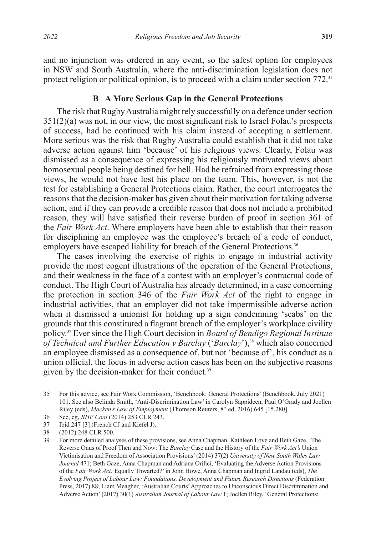and no injunction was ordered in any event, so the safest option for employees in NSW and South Australia, where the anti-discrimination legislation does not protect religion or political opinion, is to proceed with a claim under section 772.<sup>35</sup>

### **B A More Serious Gap in the General Protections**

The risk that Rugby Australia might rely successfully on a defence under section 351(2)(a) was not, in our view, the most significant risk to Israel Folau's prospects of success, had he continued with his claim instead of accepting a settlement. More serious was the risk that Rugby Australia could establish that it did not take adverse action against him 'because' of his religious views. Clearly, Folau was dismissed as a consequence of expressing his religiously motivated views about homosexual people being destined for hell. Had he refrained from expressing those views, he would not have lost his place on the team. This, however, is not the test for establishing a General Protections claim. Rather, the court interrogates the reasons that the decision-maker has given about their motivation for taking adverse action, and if they can provide a credible reason that does not include a prohibited reason, they will have satisfied their reverse burden of proof in section 361 of the *Fair Work Act*. Where employers have been able to establish that their reason for disciplining an employee was the employee's breach of a code of conduct, employers have escaped liability for breach of the General Protections.<sup>36</sup>

The cases involving the exercise of rights to engage in industrial activity provide the most cogent illustrations of the operation of the General Protections, and their weakness in the face of a contest with an employer's contractual code of conduct. The High Court of Australia has already determined, in a case concerning the protection in section 346 of the *Fair Work Act* of the right to engage in industrial activities, that an employer did not take impermissible adverse action when it dismissed a unionist for holding up a sign condemning 'scabs' on the grounds that this constituted a flagrant breach of the employer's workplace civility policy.37 Ever since the High Court decision in *Board of Bendigo Regional Institute of Technical and Further Education v Barclay* ('*Barclay*'),38 which also concerned an employee dismissed as a consequence of, but not 'because of', his conduct as a union official, the focus in adverse action cases has been on the subjective reasons given by the decision-maker for their conduct.<sup>39</sup>

<sup>35</sup> For this advice, see Fair Work Commission, 'Benchbook: General Protections' (Benchbook, July 2021) 101. See also Belinda Smith, 'Anti-Discrimination Law' in Carolyn Sappideen, Paul O'Grady and Joellen Riley (eds), *Macken's Law of Employment* (Thomson Reuters, 8<sup>th</sup> ed, 2016) 645 [15.280].

<sup>36</sup> See, eg, *BHP Coal* (2014) 253 CLR 243.<br>37 Ibid 247 [3] (French CJ and Kiefel J).

Ibid 247 [3] (French CJ and Kiefel J).

<sup>38</sup> (2012) 248 CLR 500.

<sup>39</sup> For more detailed analyses of these provisions, see Anna Chapman, Kathleen Love and Beth Gaze, 'The Reverse Onus of Proof Then and Now: The *Barclay* Case and the History of the *Fair Work Act's* Union Victimisation and Freedom of Association Provisions' (2014) 37(2) *University of New South Wales Law Journal* 471; Beth Gaze, Anna Chapman and Adriana Orifici, 'Evaluating the Adverse Action Provisions of the *Fair Work Act:* Equally Thwarted?' in John Howe, Anna Chapman and Ingrid Landau (eds), *The Evolving Project of Labour Law: Foundations, Development and Future Research Directions* (Federation Press, 2017) 88; Liam Meagher, 'Australian Courts' Approaches to Unconscious Direct Discrimination and Adverse Action' (2017) 30(1) *Australian Journal of Labour Law* 1; Joellen Riley, 'General Protections: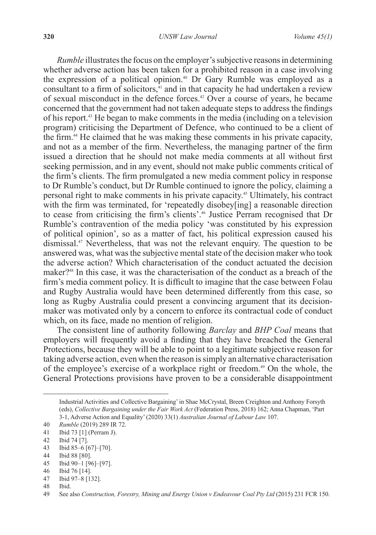*Rumble* illustrates the focus on the employer's subjective reasons in determining whether adverse action has been taken for a prohibited reason in a case involving the expression of a political opinion.<sup>40</sup> Dr Gary Rumble was employed as a consultant to a firm of solicitors, $\frac{1}{41}$  and in that capacity he had undertaken a review of sexual misconduct in the defence forces.<sup>42</sup> Over a course of years, he became concerned that the government had not taken adequate steps to address the findings of his report.43 He began to make comments in the media (including on a television program) criticising the Department of Defence, who continued to be a client of the firm.44 He claimed that he was making these comments in his private capacity, and not as a member of the firm. Nevertheless, the managing partner of the firm issued a direction that he should not make media comments at all without first seeking permission, and in any event, should not make public comments critical of the firm's clients. The firm promulgated a new media comment policy in response to Dr Rumble's conduct, but Dr Rumble continued to ignore the policy, claiming a personal right to make comments in his private capacity.45 Ultimately, his contract with the firm was terminated, for 'repeatedly disobey[ing] a reasonable direction to cease from criticising the firm's clients'.46 Justice Perram recognised that Dr Rumble's contravention of the media policy 'was constituted by his expression of political opinion', so as a matter of fact, his political expression caused his dismissal.47 Nevertheless, that was not the relevant enquiry. The question to be answered was, what was the subjective mental state of the decision maker who took the adverse action? Which characterisation of the conduct actuated the decision maker?48 In this case, it was the characterisation of the conduct as a breach of the firm's media comment policy. It is difficult to imagine that the case between Folau and Rugby Australia would have been determined differently from this case, so long as Rugby Australia could present a convincing argument that its decisionmaker was motivated only by a concern to enforce its contractual code of conduct which, on its face, made no mention of religion.

The consistent line of authority following *Barclay* and *BHP Coal* means that employers will frequently avoid a finding that they have breached the General Protections, because they will be able to point to a legitimate subjective reason for taking adverse action, even when the reason is simply an alternative characterisation of the employee's exercise of a workplace right or freedom.49 On the whole, the General Protections provisions have proven to be a considerable disappointment

46 Ibid 76 [14].

48 Ibid.

Industrial Activities and Collective Bargaining' in Shae McCrystal, Breen Creighton and Anthony Forsyth (eds), *Collective Bargaining under the Fair Work Act* (Federation Press, 2018) 162; Anna Chapman, 'Part 3-1, Adverse Action and Equality' (2020) 33(1) *Australian Journal of Labour Law* 107.

<sup>40</sup> *Rumble* (2019) 289 IR 72.

<sup>41</sup> Ibid 73 [1] (Perram J).

<sup>42</sup> Ibid 74 [7].

<sup>43</sup> Ibid 85–6 [67]–[70].

<sup>44</sup> Ibid 88 [80].

<sup>45</sup> Ibid 90–1 [96]–[97].

<sup>47</sup> Ibid 97–8 [132].

<sup>49</sup> See also *Construction, Forestry, Mining and Energy Union v Endeavour Coal Pty Ltd* (2015) 231 FCR 150.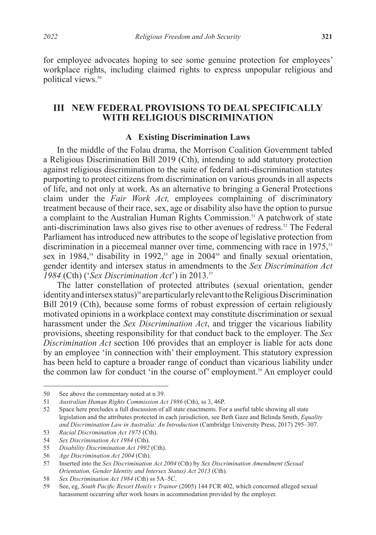for employee advocates hoping to see some genuine protection for employees' workplace rights, including claimed rights to express unpopular religious and political views.<sup>50</sup>

## **III NEW FEDERAL PROVISIONS TO DEAL SPECIFICALLY WITH RELIGIOUS DISCRIMINATION**

### **A Existing Discrimination Laws**

In the middle of the Folau drama, the Morrison Coalition Government tabled a Religious Discrimination Bill 2019 (Cth), intending to add statutory protection against religious discrimination to the suite of federal anti-discrimination statutes purporting to protect citizens from discrimination on various grounds in all aspects of life, and not only at work. As an alternative to bringing a General Protections claim under the *Fair Work Act,* employees complaining of discriminatory treatment because of their race, sex, age or disability also have the option to pursue a complaint to the Australian Human Rights Commission.<sup>51</sup> A patchwork of state anti-discrimination laws also gives rise to other avenues of redress.52 The Federal Parliament has introduced new attributes to the scope of legislative protection from discrimination in a piecemeal manner over time, commencing with race in 1975,<sup>53</sup> sex in 1984,<sup>54</sup> disability in 1992,<sup>55</sup> age in 2004<sup>56</sup> and finally sexual orientation, gender identity and intersex status in amendments to the *Sex Discrimination Act 1984* (Cth) ('*Sex Discrimination Act*') in 2013.57

The latter constellation of protected attributes (sexual orientation, gender identity and intersex status)<sup>58</sup> are particularly relevant to the Religious Discrimination Bill 2019 (Cth), because some forms of robust expression of certain religiously motivated opinions in a workplace context may constitute discrimination or sexual harassment under the *Sex Discrimination Act*, and trigger the vicarious liability provisions, sheeting responsibility for that conduct back to the employer. The *Sex Discrimination Act* section 106 provides that an employer is liable for acts done by an employee 'in connection with' their employment. This statutory expression has been held to capture a broader range of conduct than vicarious liability under the common law for conduct 'in the course of' employment.<sup>59</sup> An employer could

<sup>50</sup> See above the commentary noted at n 39.

<sup>51</sup> *Australian Human Rights Commission Act 1986* (Cth), ss 3, 46P.

<sup>52</sup> Space here precludes a full discussion of all state enactments. For a useful table showing all state legislation and the attributes protected in each jurisdiction, see Beth Gaze and Belinda Smith, *Equality and Discrimination Law in Australia: An Introduction* (Cambridge University Press, 2017) 295–307.

<sup>53</sup> *Racial Discrimination Act 1975* (Cth).

<sup>54</sup> *Sex Discrimination Act 1984* (Cth).

<sup>55</sup> *Disability Discrimination Act 1992* (Cth).

<sup>56</sup> *Age Discrimination Act 2004* (Cth).

<sup>57</sup> Inserted into the *Sex Discrimination Act 2004* (Cth) by *Sex Discrimination Amendment (Sexual Orientation, Gender Identity and Intersex Status) Act 2013* (Cth).

<sup>58</sup> *Sex Discrimination Act 1984* (Cth) ss 5A–5C.

<sup>59</sup> See, eg, *South Pacific Resort Hotels v Trainor* (2005) 144 FCR 402, which concerned alleged sexual harassment occurring after work hours in accommodation provided by the employer.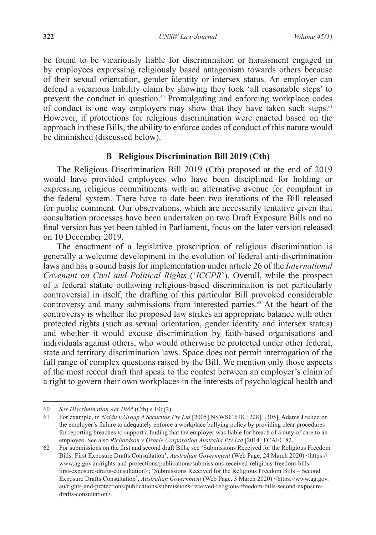be found to be vicariously liable for discrimination or harassment engaged in by employees expressing religiously based antagonism towards others because of their sexual orientation, gender identity or intersex status. An employer can defend a vicarious liability claim by showing they took 'all reasonable steps' to prevent the conduct in question.<sup>60</sup> Promulgating and enforcing workplace codes of conduct is one way employers may show that they have taken such steps.<sup>61</sup> However, if protections for religious discrimination were enacted based on the approach in these Bills, the ability to enforce codes of conduct of this nature would be diminished (discussed below).

### **B Religious Discrimination Bill 2019 (Cth)**

The Religious Discrimination Bill 2019 (Cth) proposed at the end of 2019 would have provided employees who have been disciplined for holding or expressing religious commitments with an alternative avenue for complaint in the federal system. There have to date been two iterations of the Bill released for public comment. Our observations, which are necessarily tentative given that consultation processes have been undertaken on two Draft Exposure Bills and no final version has yet been tabled in Parliament, focus on the later version released on 10 December 2019.

The enactment of a legislative proscription of religious discrimination is generally a welcome development in the evolution of federal anti-discrimination laws and has a sound basis for implementation under article 26 of the *International Covenant on Civil and Political Rights* ('*ICCPR*'). Overall, while the prospect of a federal statute outlawing religious-based discrimination is not particularly controversial in itself, the drafting of this particular Bill provoked considerable controversy and many submissions from interested parties.<sup>62</sup> At the heart of the controversy is whether the proposed law strikes an appropriate balance with other protected rights (such as sexual orientation, gender identity and intersex status) and whether it would excuse discrimination by faith-based organisations and individuals against others, who would otherwise be protected under other federal, state and territory discrimination laws. Space does not permit interrogation of the full range of complex questions raised by the Bill. We mention only those aspects of the most recent draft that speak to the contest between an employer's claim of a right to govern their own workplaces in the interests of psychological health and

<sup>60</sup> *Sex Discrimination Act 1984* (Cth) s 106(2).

<sup>61</sup> For example, in *Naidu v Group 4 Securitas Pty Ltd* [2005] NSWSC 618, [228], [305], Adams J relied on the employer's failure to adequately enforce a workplace bullying policy by providing clear procedures for reporting breaches to support a finding that the employer was liable for breach of a duty of care to an employee. See also *Richardson v Oracle Corporation Australia Pty Ltd* [2014] FCAFC 82.

<sup>62</sup> For submissions on the first and second draft Bills, see 'Submissions Received for the Religious Freedom Bills: First Exposure Drafts Consultation', *Australian Government* (Web Page, 24 March 2020) <https:// www.ag.gov.au/rights-and-protections/publications/submissions-received-religious-freedom-billsfirst-exposure-drafts-consultation>; 'Submissions Received for the Religious Freedom Bills – Second Exposure Drafts Consultation', *Australian Government* (Web Page, 3 March 2020) <https://www.ag.gov. au/rights-and-protections/publications/submissions-received-religious-freedom-bills-second-exposuredrafts-consultation>.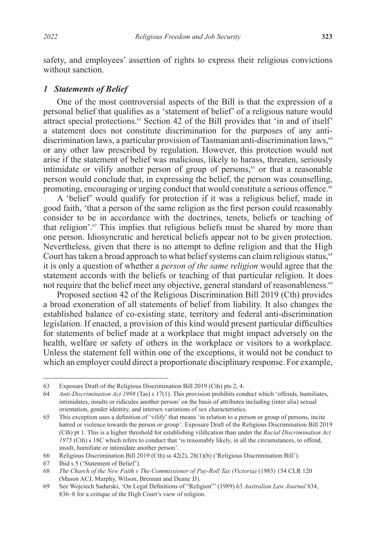safety, and employees' assertion of rights to express their religious convictions without sanction.

### *1 Statements of Belief*

One of the most controversial aspects of the Bill is that the expression of a personal belief that qualifies as a 'statement of belief' of a religious nature would attract special protections.<sup>63</sup> Section 42 of the Bill provides that 'in and of itself' a statement does not constitute discrimination for the purposes of any antidiscrimination laws, a particular provision of Tasmanian anti-discrimination laws,<sup>64</sup> or any other law prescribed by regulation. However, this protection would not arise if the statement of belief was malicious, likely to harass, threaten, seriously intimidate or vilify another person of group of persons, $65$  or that a reasonable person would conclude that, in expressing the belief, the person was counselling, promoting, encouraging or urging conduct that would constitute a serious offence.<sup>66</sup>

A 'belief' would qualify for protection if it was a religious belief, made in good faith, 'that a person of the same religion as the first person could reasonably consider to be in accordance with the doctrines, tenets, beliefs or teaching of that religion'.67 This implies that religious beliefs must be shared by more than one person. Idiosyncratic and heretical beliefs appear not to be given protection. Nevertheless, given that there is no attempt to define religion and that the High Court has taken a broad approach to what belief systems can claim religious status,<sup>68</sup> it is only a question of whether a *person of the same religion* would agree that the statement accords with the beliefs or teaching of that particular religion. It does not require that the belief meet any objective, general standard of reasonableness.<sup>69</sup>

Proposed section 42 of the Religious Discrimination Bill 2019 (Cth) provides a broad exoneration of all statements of belief from liability. It also changes the established balance of co-existing state, territory and federal anti-discrimination legislation. If enacted, a provision of this kind would present particular difficulties for statements of belief made at a workplace that might impact adversely on the health, welfare or safety of others in the workplace or visitors to a workplace. Unless the statement fell within one of the exceptions, it would not be conduct to which an employer could direct a proportionate disciplinary response. For example,

<sup>63</sup> Exposure Draft of the Religious Discrimination Bill 2019 (Cth) pts 2, 4.

<sup>64</sup> *Anti-Discrimination Act 1998* (Tas) s 17(1). This provision prohibits conduct which 'offends, humiliates, intimidates, insults or ridicules another person' on the basis of attributes including (inter alia) sexual orientation, gender identity, and intersex variations of sex characteristics.

<sup>65</sup> This exception uses a definition of 'vilify' that means 'in relation to a person or group of persons, incite hatred or violence towards the person or group': Exposure Draft of the Religious Discrimination Bill 2019 (Cth) pt 1. This is a higher threshold for establishing vilification than under the *Racial Discrimination Act 1975* (Cth) s 18C which refers to conduct that 'is reasonably likely, in all the circumstances, to offend, insult, humiliate or intimidate another person'.

<sup>66</sup> Religious Discrimination Bill 2019 (Cth) ss 42(2), 28(1)(b) ('Religious Discrimination Bill').

<sup>67</sup> Ibid s 5 ('Statement of Belief').

<sup>68</sup> *The Church of the New Faith v The Commissioner of Pay-Roll Tax (Victoria)* (1983) 154 CLR 120 (Mason ACJ, Murphy, Wilson, Brennan and Deane JJ).

<sup>69</sup> See Wojciech Sadurski, 'On Legal Definitions of "Religion"' (1989) 63 *Australian Law Journal* 834, 836–8 for a critique of the High Court's view of religion.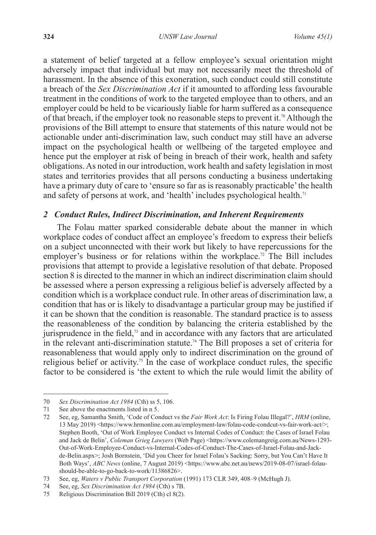a statement of belief targeted at a fellow employee's sexual orientation might adversely impact that individual but may not necessarily meet the threshold of harassment. In the absence of this exoneration, such conduct could still constitute a breach of the *Sex Discrimination Act* if it amounted to affording less favourable treatment in the conditions of work to the targeted employee than to others, and an employer could be held to be vicariously liable for harm suffered as a consequence of that breach, if the employer took no reasonable steps to prevent it.70 Although the provisions of the Bill attempt to ensure that statements of this nature would not be actionable under anti-discrimination law, such conduct may still have an adverse impact on the psychological health or wellbeing of the targeted employee and hence put the employer at risk of being in breach of their work, health and safety obligations. As noted in our introduction, work health and safety legislation in most states and territories provides that all persons conducting a business undertaking have a primary duty of care to 'ensure so far as is reasonably practicable' the health and safety of persons at work, and 'health' includes psychological health.<sup>71</sup>

### *2 Conduct Rules, Indirect Discrimination, and Inherent Requirements*

The Folau matter sparked considerable debate about the manner in which workplace codes of conduct affect an employee's freedom to express their beliefs on a subject unconnected with their work but likely to have repercussions for the employer's business or for relations within the workplace.<sup>72</sup> The Bill includes provisions that attempt to provide a legislative resolution of that debate. Proposed section 8 is directed to the manner in which an indirect discrimination claim should be assessed where a person expressing a religious belief is adversely affected by a condition which is a workplace conduct rule. In other areas of discrimination law, a condition that has or is likely to disadvantage a particular group may be justified if it can be shown that the condition is reasonable. The standard practice is to assess the reasonableness of the condition by balancing the criteria established by the jurisprudence in the field,<sup>73</sup> and in accordance with any factors that are articulated in the relevant anti-discrimination statute.<sup>74</sup> The Bill proposes a set of criteria for reasonableness that would apply only to indirect discrimination on the ground of religious belief or activity.<sup>75</sup> In the case of workplace conduct rules, the specific factor to be considered is 'the extent to which the rule would limit the ability of

<sup>70</sup> *Sex Discrimination Act 1984* (Cth) ss 5, 106.

<sup>71</sup> See above the enactments listed in n 5.

<sup>72</sup> See, eg, Samantha Smith, 'Code of Conduct vs the *Fair Work Act*: Is Firing Folau Illegal?', *HRM* (online, 13 May 2019) <https://www.hrmonline.com.au/employment-law/folau-code-condcut-vs-fair-work-act/>; Stephen Booth, 'Out of Work Employee Conduct vs Internal Codes of Conduct: the Cases of Israel Folau and Jack de Belin', *Coleman Grieg Lawyers* (Web Page) <https://www.colemangreig.com.au/News-1293-Out-of-Work-Employee-Conduct-vs-Internal-Codes-of-Conduct-The-Cases-of-Israel-Folau-and-Jackde-Belin.aspx>; Josh Bornstein, 'Did you Cheer for Israel Folau's Sacking: Sorry, but You Can't Have It Both Ways', *ABC News* (online, 7 August 2019) <https://www.abc.net.au/news/2019-08-07/israel-folaushould-be-able-to-go-back-to-work/11386826>.

<sup>73</sup> See, eg, *Waters v Public Transport Corporation* (1991) 173 CLR 349, 408–9 (McHugh J).

<sup>74</sup> See, eg, *Sex Discrimination Act 1984* (Cth) s 7B.

<sup>75</sup> Religious Discrimination Bill 2019 (Cth) cl 8(2).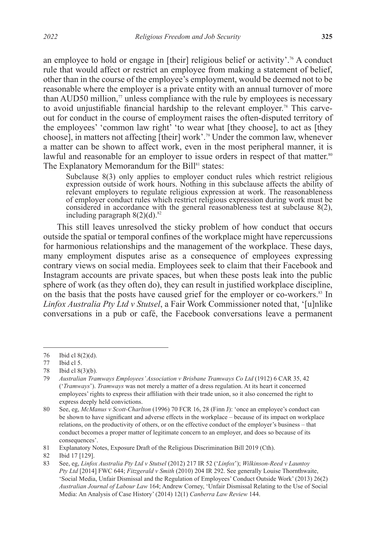an employee to hold or engage in [their] religious belief or activity'.<sup>76</sup> A conduct rule that would affect or restrict an employee from making a statement of belief, other than in the course of the employee's employment, would be deemed not to be reasonable where the employer is a private entity with an annual turnover of more than AUD50 million, $\pi$  unless compliance with the rule by employees is necessary to avoid unjustifiable financial hardship to the relevant employer.<sup>78</sup> This carveout for conduct in the course of employment raises the often-disputed territory of the employees' 'common law right' 'to wear what [they choose], to act as [they choose], in matters not affecting [their] work'.79 Under the common law, whenever a matter can be shown to affect work, even in the most peripheral manner, it is lawful and reasonable for an employer to issue orders in respect of that matter.<sup>80</sup> The Explanatory Memorandum for the Bill<sup>81</sup> states:

Subclause 8(3) only applies to employer conduct rules which restrict religious expression outside of work hours. Nothing in this subclause affects the ability of relevant employers to regulate religious expression at work. The reasonableness of employer conduct rules which restrict religious expression during work must be considered in accordance with the general reasonableness test at subclause 8(2), including paragraph  $8(2)(d)$ .<sup>82</sup>

This still leaves unresolved the sticky problem of how conduct that occurs outside the spatial or temporal confines of the workplace might have repercussions for harmonious relationships and the management of the workplace. These days, many employment disputes arise as a consequence of employees expressing contrary views on social media. Employees seek to claim that their Facebook and Instagram accounts are private spaces, but when these posts leak into the public sphere of work (as they often do), they can result in justified workplace discipline, on the basis that the posts have caused grief for the employer or co-workers.<sup>83</sup> In *Linfox Australia Pty Ltd v Stutsel*, a Fair Work Commissioner noted that, '[u]nlike conversations in a pub or café, the Facebook conversations leave a permanent

<sup>76</sup> Ibid cl 8(2)(d).

<sup>77</sup> Ibid cl 5.

<sup>78</sup> Ibid cl 8(3)(b).

<sup>79</sup> *Australian Tramways Employees' Association v Brisbane Tramways Co Ltd* (1912) 6 CAR 35, 42 ('*Tramways*'). *Tramways* was not merely a matter of a dress regulation. At its heart it concerned employees' rights to express their affiliation with their trade union, so it also concerned the right to express deeply held convictions.

<sup>80</sup> See, eg, *McManus v Scott-Charlton* (1996) 70 FCR 16, 28 (Finn J): 'once an employee's conduct can be shown to have significant and adverse effects in the workplace – because of its impact on workplace relations, on the productivity of others, or on the effective conduct of the employer's business – that conduct becomes a proper matter of legitimate concern to an employer, and does so because of its consequences'.

<sup>81</sup> Explanatory Notes, Exposure Draft of the Religious Discrimination Bill 2019 (Cth).

<sup>82</sup> Ibid 17 [129].

<sup>83</sup> See, eg, *Linfox Australia Pty Ltd v Stutsel* (2012) 217 IR 52 ('*Linfox*'); *Wilkinson-Reed v Launtoy Pty Ltd* [2014] FWC 644; *Fitzgerald v Smith* (2010) 204 IR 292. See generally Louise Thornthwaite, 'Social Media, Unfair Dismissal and the Regulation of Employees' Conduct Outside Work' (2013) 26(2) *Australian Journal of Labour Law* 164; Andrew Corney, 'Unfair Dismissal Relating to the Use of Social Media: An Analysis of Case History' (2014) 12(1) *Canberra Law Review* 144.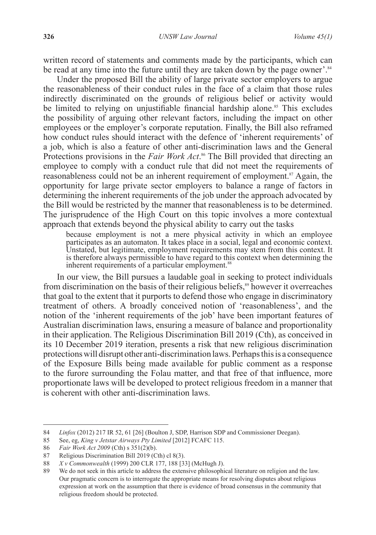written record of statements and comments made by the participants, which can be read at any time into the future until they are taken down by the page owner'.<sup>84</sup>

Under the proposed Bill the ability of large private sector employers to argue the reasonableness of their conduct rules in the face of a claim that those rules indirectly discriminated on the grounds of religious belief or activity would be limited to relying on unjustifiable financial hardship alone.<sup>85</sup> This excludes the possibility of arguing other relevant factors, including the impact on other employees or the employer's corporate reputation. Finally, the Bill also reframed how conduct rules should interact with the defence of 'inherent requirements' of a job, which is also a feature of other anti-discrimination laws and the General Protections provisions in the *Fair Work Act*. 86 The Bill provided that directing an employee to comply with a conduct rule that did not meet the requirements of reasonableness could not be an inherent requirement of employment.<sup>87</sup> Again, the opportunity for large private sector employers to balance a range of factors in determining the inherent requirements of the job under the approach advocated by the Bill would be restricted by the manner that reasonableness is to be determined. The jurisprudence of the High Court on this topic involves a more contextual approach that extends beyond the physical ability to carry out the tasks

because employment is not a mere physical activity in which an employee participates as an automaton. It takes place in a social, legal and economic context. Unstated, but legitimate, employment requirements may stem from this context. It is therefore always permissible to have regard to this context when determining the inherent requirements of a particular employment.<sup>88</sup>

In our view, the Bill pursues a laudable goal in seeking to protect individuals from discrimination on the basis of their religious beliefs,<sup>89</sup> however it overreaches that goal to the extent that it purports to defend those who engage in discriminatory treatment of others. A broadly conceived notion of 'reasonableness', and the notion of the 'inherent requirements of the job' have been important features of Australian discrimination laws, ensuring a measure of balance and proportionality in their application. The Religious Discrimination Bill 2019 (Cth), as conceived in its 10 December 2019 iteration, presents a risk that new religious discrimination protections will disrupt other anti-discrimination laws. Perhaps this is a consequence of the Exposure Bills being made available for public comment as a response to the furore surrounding the Folau matter, and that free of that influence, more proportionate laws will be developed to protect religious freedom in a manner that is coherent with other anti-discrimination laws.

<sup>84</sup> *Linfox* (2012) 217 IR 52, 61 [26] (Boulton J, SDP, Harrison SDP and Commissioner Deegan).

<sup>85</sup> See, eg, *King v Jetstar Airways Pty Limited* [2012] FCAFC 115.

<sup>86</sup> *Fair Work Act 2009* (Cth) s 351(2)(b).

<sup>87</sup> Religious Discrimination Bill 2019 (Cth) cl 8(3).

<sup>88</sup> *X v Commonwealth* (1999) 200 CLR 177, 188 [33] (McHugh J).<br>89 We do not seek in this article to address the extensive philosophi

We do not seek in this article to address the extensive philosophical literature on religion and the law. Our pragmatic concern is to interrogate the appropriate means for resolving disputes about religious expression at work on the assumption that there is evidence of broad consensus in the community that religious freedom should be protected.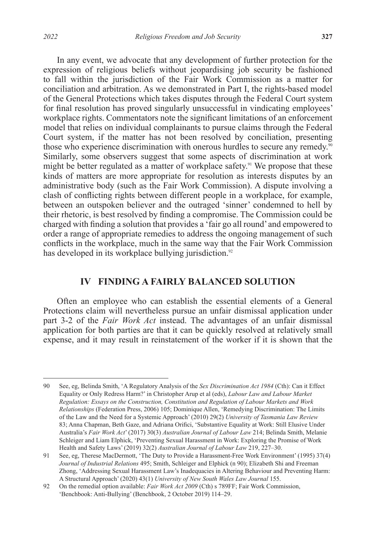In any event, we advocate that any development of further protection for the expression of religious beliefs without jeopardising job security be fashioned to fall within the jurisdiction of the Fair Work Commission as a matter for conciliation and arbitration. As we demonstrated in Part I, the rights-based model of the General Protections which takes disputes through the Federal Court system for final resolution has proved singularly unsuccessful in vindicating employees' workplace rights. Commentators note the significant limitations of an enforcement model that relies on individual complainants to pursue claims through the Federal Court system, if the matter has not been resolved by conciliation, presenting those who experience discrimination with onerous hurdles to secure any remedy. $\frac{90}{90}$ Similarly, some observers suggest that some aspects of discrimination at work might be better regulated as a matter of workplace safety.<sup>91</sup> We propose that these kinds of matters are more appropriate for resolution as interests disputes by an administrative body (such as the Fair Work Commission). A dispute involving a clash of conflicting rights between different people in a workplace, for example, between an outspoken believer and the outraged 'sinner' condemned to hell by their rhetoric, is best resolved by finding a compromise. The Commission could be charged with finding a solution that provides a 'fair go all round' and empowered to order a range of appropriate remedies to address the ongoing management of such conflicts in the workplace, much in the same way that the Fair Work Commission has developed in its workplace bullying jurisdiction.<sup>92</sup>

## **IV FINDING A FAIRLY BALANCED SOLUTION**

Often an employee who can establish the essential elements of a General Protections claim will nevertheless pursue an unfair dismissal application under part 3-2 of the *Fair Work Act* instead. The advantages of an unfair dismissal application for both parties are that it can be quickly resolved at relatively small expense, and it may result in reinstatement of the worker if it is shown that the

<sup>90</sup> See, eg, Belinda Smith, 'A Regulatory Analysis of the *Sex Discrimination Act 1984* (Cth): Can it Effect Equality or Only Redress Harm?' in Christopher Arup et al (eds), *Labour Law and Labour Market Regulation: Essays on the Construction, Constitution and Regulation of Labour Markets and Work Relationships* (Federation Press, 2006) 105; Dominique Allen, 'Remedying Discrimination: The Limits of the Law and the Need for a Systemic Approach' (2010) 29(2) *University of Tasmania Law Review* 83; Anna Chapman, Beth Gaze, and Adriana Orifici, 'Substantive Equality at Work: Still Elusive Under Australia's *Fair Work Act*' (2017) 30(3) *Australian Journal of Labour Law* 214; Belinda Smith, Melanie Schleiger and Liam Elphick, 'Preventing Sexual Harassment in Work: Exploring the Promise of Work Health and Safety Laws' (2019) 32(2) *Australian Journal of Labour Law* 219, 227–30.

<sup>91</sup> See, eg, Therese MacDermott, 'The Duty to Provide a Harassment-Free Work Environment' (1995) 37(4) *Journal of Industrial Relations* 495; Smith, Schleiger and Elphick (n 90); Elizabeth Shi and Freeman Zhong, 'Addressing Sexual Harassment Law's Inadequacies in Altering Behaviour and Preventing Harm: A Structural Approach' (2020) 43(1) *University of New South Wales Law Journal* 155.

<sup>92</sup> On the remedial option available: *Fair Work Act 2009* (Cth) s 789FF; Fair Work Commission, 'Benchbook: Anti-Bullying' (Benchbook, 2 October 2019) 114–29.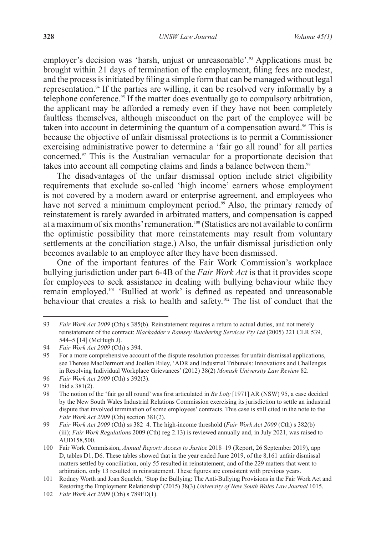employer's decision was 'harsh, unjust or unreasonable'.<sup>93</sup> Applications must be brought within 21 days of termination of the employment, filing fees are modest, and the process is initiated by filing a simple form that can be managed without legal representation.94 If the parties are willing, it can be resolved very informally by a telephone conference.<sup>95</sup> If the matter does eventually go to compulsory arbitration, the applicant may be afforded a remedy even if they have not been completely faultless themselves, although misconduct on the part of the employee will be taken into account in determining the quantum of a compensation award.<sup>96</sup> This is because the objective of unfair dismissal protections is to permit a Commissioner exercising administrative power to determine a 'fair go all round' for all parties concerned.97 This is the Australian vernacular for a proportionate decision that takes into account all competing claims and finds a balance between them.<sup>98</sup>

The disadvantages of the unfair dismissal option include strict eligibility requirements that exclude so-called 'high income' earners whose employment is not covered by a modern award or enterprise agreement, and employees who have not served a minimum employment period.<sup>99</sup> Also, the primary remedy of reinstatement is rarely awarded in arbitrated matters, and compensation is capped at a maximum of six months' remuneration.100 (Statistics are not available to confirm the optimistic possibility that more reinstatements may result from voluntary settlements at the conciliation stage.) Also, the unfair dismissal jurisdiction only becomes available to an employee after they have been dismissed.

One of the important features of the Fair Work Commission's workplace bullying jurisdiction under part 6-4B of the *Fair Work Act* is that it provides scope for employees to seek assistance in dealing with bullying behaviour while they remain employed.101 'Bullied at work' is defined as repeated and unreasonable behaviour that creates a risk to health and safety.102 The list of conduct that the

<sup>93</sup> *Fair Work Act 2009* (Cth) s 385(b). Reinstatement requires a return to actual duties, and not merely reinstatement of the contract: *Blackadder v Ramsey Butchering Services Pty Ltd* (2005) 221 CLR 539, 544–5 [14] (McHugh J).

<sup>94</sup> *Fair Work Act 2009* (Cth) s 394.<br>95 For a more comprehensive account

<sup>95</sup> For a more comprehensive account of the dispute resolution processes for unfair dismissal applications, see Therese MacDermott and Joellen Riley, 'ADR and Industrial Tribunals: Innovations and Challenges in Resolving Individual Workplace Grievances' (2012) 38(2) *Monash University Law Review* 82.

<sup>96</sup> *Fair Work Act 2009* (Cth) s 392(3).

<sup>97</sup> Ibid s 381(2).

<sup>98</sup> The notion of the 'fair go all round' was first articulated in *Re Loty* [1971] AR (NSW) 95, a case decided by the New South Wales Industrial Relations Commission exercising its jurisdiction to settle an industrial dispute that involved termination of some employees' contracts. This case is still cited in the note to the *Fair Work Act 2009* (Cth) section 381(2).

<sup>99</sup> *Fair Work Act 2009* (Cth) ss 382–4. The high-income threshold (*Fair Work Act 2009* (Cth) s 382(b) (iii); *Fair Work Regulation*s 2009 (Cth) reg 2.13) is reviewed annually and, in July 2021, was raised to AUD158,500.

<sup>100</sup> Fair Work Commission, *Annual Report: Access to Justice* 2018–19 (Report, 26 September 2019), app D, tables D1, D6. These tables showed that in the year ended June 2019, of the 8,161 unfair dismissal matters settled by conciliation, only 55 resulted in reinstatement, and of the 229 matters that went to arbitration, only 13 resulted in reinstatement. These figures are consistent with previous years.

<sup>101</sup> Rodney Worth and Joan Squelch, 'Stop the Bullying: The Anti-Bullying Provisions in the Fair Work Act and Restoring the Employment Relationship' (2015) 38(3) *University of New South Wales Law Journal* 1015.

<sup>102</sup> *Fair Work Act 2009* (Cth) s 789FD(1).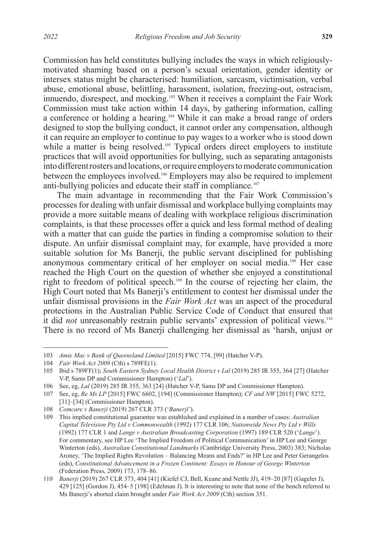Commission has held constitutes bullying includes the ways in which religiouslymotivated shaming based on a person's sexual orientation, gender identity or intersex status might be characterised: humiliation, sarcasm, victimisation, verbal abuse, emotional abuse, belittling, harassment, isolation, freezing-out, ostracism, innuendo, disrespect, and mocking.103 When it receives a complaint the Fair Work Commission must take action within 14 days, by gathering information, calling a conference or holding a hearing.104 While it can make a broad range of orders designed to stop the bullying conduct, it cannot order any compensation, although it can require an employer to continue to pay wages to a worker who is stood down while a matter is being resolved.<sup>105</sup> Typical orders direct employers to institute practices that will avoid opportunities for bullying, such as separating antagonists into different rosters and locations, or require employers to moderate communication between the employees involved.106 Employers may also be required to implement anti-bullying policies and educate their staff in compliance.<sup>107</sup>

The main advantage in recommending that the Fair Work Commission's processes for dealing with unfair dismissal and workplace bullying complaints may provide a more suitable means of dealing with workplace religious discrimination complaints, is that these processes offer a quick and less formal method of dealing with a matter that can guide the parties in finding a compromise solution to their dispute. An unfair dismissal complaint may, for example, have provided a more suitable solution for Ms Banerji, the public servant disciplined for publishing anonymous commentary critical of her employer on social media.<sup>108</sup> Her case reached the High Court on the question of whether she enjoyed a constitutional right to freedom of political speech.109 In the course of rejecting her claim, the High Court noted that Ms Banerji's entitlement to contest her dismissal under the unfair dismissal provisions in the *Fair Work Act* was an aspect of the procedural protections in the Australian Public Service Code of Conduct that ensured that it did *not* unreasonably restrain public servants' expression of political views.<sup>110</sup> There is no record of Ms Banerji challenging her dismissal as 'harsh, unjust or

<sup>103</sup> *Amie Mac v Bank of Queensland Limited* [2015] FWC 774, [99] (Hatcher V-P).

<sup>104</sup> *Fair Work Act 2009* (Cth) s 789FE(1).

<sup>105</sup> Ibid s 789FF(1); *South Eastern Sydney Local Health District v Lal* (2019) 285 IR 355, 364 [27] (Hatcher V-P, Sams DP and Commissioner Hampton) ('*Lal*').

<sup>106</sup> See, eg, *Lal* (2019) 285 IR 355, 363 [24] (Hatcher V-P, Sams DP and Commissioner Hampton).

<sup>107</sup> See, eg, *Re Ms LP* [2015] FWC 6602, [194] (Commissioner Hampton); *CF and NW* [2015] FWC 5272, [31]–[34] (Commissioner Hampton).

<sup>108</sup> *Comcare v Banerji* (2019) 267 CLR 373 ('*Banerji*').

<sup>109</sup> This implied constitutional guarantee was established and explained in a number of cases: *Australian Capital Television Pty Ltd v Commonwealth* (1992) 177 CLR 106; *Nationwide News Pty Ltd v Wills* (1992) 177 CLR 1 and *Lange v Australian Broadcasting Corporation* (1997) 189 CLR 520 ('*Lange*'). For commentary, see HP Lee 'The Implied Freedom of Political Communication' in HP Lee and George Winterton (eds), *Australian Constitutional Landmarks* (Cambridge University Press, 2003) 383; Nicholas Aroney, 'The Implied Rights Revolution – Balancing Means and Ends?' in HP Lee and Peter Gerangelos (eds), *Constitutional Advancement in a Frozen Continent: Essays in Honour of George Winterton* (Federation Press, 2009) 173, 178–86.

<sup>110</sup> *Banerji* (2019) 267 CLR 373, 404 [41] (Kiefel CJ, Bell, Keane and Nettle JJ), 419–20 [87] (Gageler J), 429 [125] (Gordon J), 454–5 [198] (Edelman J). It is interesting to note that none of the bench referred to Ms Banerji's aborted claim brought under *Fair Work Act 2009* (Cth) section 351.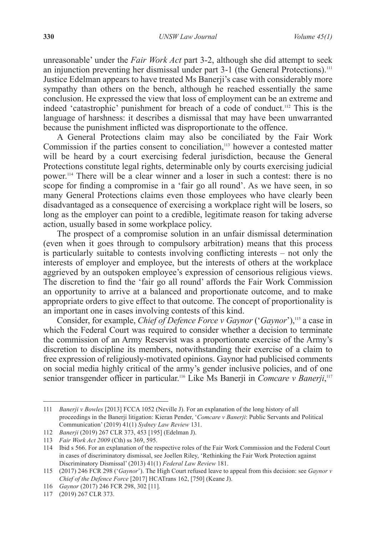unreasonable' under the *Fair Work Act* part 3-2, although she did attempt to seek an injunction preventing her dismissal under part 3-1 (the General Protections).<sup>111</sup> Justice Edelman appears to have treated Ms Banerji's case with considerably more sympathy than others on the bench, although he reached essentially the same conclusion. He expressed the view that loss of employment can be an extreme and indeed 'catastrophic' punishment for breach of a code of conduct.112 This is the language of harshness: it describes a dismissal that may have been unwarranted because the punishment inflicted was disproportionate to the offence.

A General Protections claim may also be conciliated by the Fair Work Commission if the parties consent to conciliation,<sup>113</sup> however a contested matter will be heard by a court exercising federal jurisdiction, because the General Protections constitute legal rights, determinable only by courts exercising judicial power.114 There will be a clear winner and a loser in such a contest: there is no scope for finding a compromise in a 'fair go all round'. As we have seen, in so many General Protections claims even those employees who have clearly been disadvantaged as a consequence of exercising a workplace right will be losers, so long as the employer can point to a credible, legitimate reason for taking adverse action, usually based in some workplace policy.

The prospect of a compromise solution in an unfair dismissal determination (even when it goes through to compulsory arbitration) means that this process is particularly suitable to contests involving conflicting interests – not only the interests of employer and employee, but the interests of others at the workplace aggrieved by an outspoken employee's expression of censorious religious views. The discretion to find the 'fair go all round' affords the Fair Work Commission an opportunity to arrive at a balanced and proportionate outcome, and to make appropriate orders to give effect to that outcome. The concept of proportionality is an important one in cases involving contests of this kind.

Consider, for example, *Chief of Defence Force v Gaynor* ('*Gaynor*'),115 a case in which the Federal Court was required to consider whether a decision to terminate the commission of an Army Reservist was a proportionate exercise of the Army's discretion to discipline its members, notwithstanding their exercise of a claim to free expression of religiously-motivated opinions. Gaynor had publicised comments on social media highly critical of the army's gender inclusive policies, and of one senior transgender officer in particular.<sup>116</sup> Like Ms Banerji in *Comcare v Banerji*,<sup>117</sup>

<sup>111</sup> *Banerji v Bowles* [2013] FCCA 1052 (Neville J). For an explanation of the long history of all proceedings in the Banerji litigation: Kieran Pender, '*Comcare v Banerji*: Public Servants and Political Communication' (2019) 41(1) *Sydney Law Review* 131.

<sup>112</sup> *Banerji* (2019) 267 CLR 373, 453 [195] (Edelman J).

<sup>113</sup> *Fair Work Act 2009* (Cth) ss 369, 595.

<sup>114</sup> Ibid s 566. For an explanation of the respective roles of the Fair Work Commission and the Federal Court in cases of discriminatory dismissal, see Joellen Riley, 'Rethinking the Fair Work Protection against Discriminatory Dismissal' (2013) 41(1) *Federal Law Review* 181.

<sup>115</sup> (2017) 246 FCR 298 ('*Gaynor*'). The High Court refused leave to appeal from this decision: see *Gaynor v Chief of the Defence Force* [2017] HCATrans 162, [750] (Keane J).

<sup>116</sup> *Gaynor* (2017) 246 FCR 298, 302 [11].

<sup>117</sup> (2019) 267 CLR 373.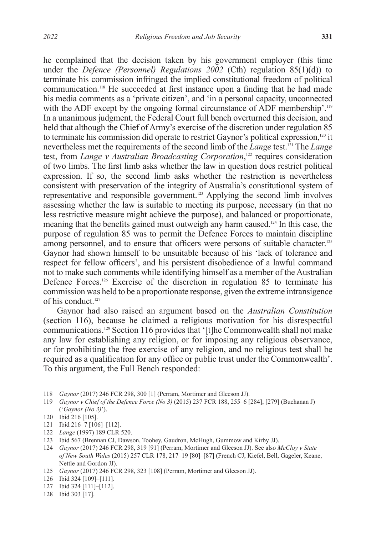he complained that the decision taken by his government employer (this time under the *Defence (Personnel) Regulations 2002* (Cth) regulation 85(1)(d)) to terminate his commission infringed the implied constitutional freedom of political communication.<sup>118</sup> He succeeded at first instance upon a finding that he had made his media comments as a 'private citizen', and 'in a personal capacity, unconnected with the ADF except by the ongoing formal circumstance of ADF membership'.<sup>119</sup> In a unanimous judgment, the Federal Court full bench overturned this decision, and held that although the Chief of Army's exercise of the discretion under regulation 85 to terminate his commission did operate to restrict Gaynor's political expression,<sup>120</sup> it nevertheless met the requirements of the second limb of the *Lange* test.<sup>121</sup> The *Lange* test, from *Lange v Australian Broadcasting Corporation*,<sup>122</sup> requires consideration of two limbs. The first limb asks whether the law in question does restrict political expression. If so, the second limb asks whether the restriction is nevertheless consistent with preservation of the integrity of Australia's constitutional system of representative and responsible government.123 Applying the second limb involves assessing whether the law is suitable to meeting its purpose, necessary (in that no less restrictive measure might achieve the purpose), and balanced or proportionate, meaning that the benefits gained must outweigh any harm caused.124 In this case, the purpose of regulation 85 was to permit the Defence Forces to maintain discipline among personnel, and to ensure that officers were persons of suitable character.<sup>125</sup> Gaynor had shown himself to be unsuitable because of his 'lack of tolerance and respect for fellow officers', and his persistent disobedience of a lawful command not to make such comments while identifying himself as a member of the Australian Defence Forces.<sup>126</sup> Exercise of the discretion in regulation 85 to terminate his commission was held to be a proportionate response, given the extreme intransigence of his conduct<sup>127</sup>

Gaynor had also raised an argument based on the *Australian Constitution* (section 116), because he claimed a religious motivation for his disrespectful communications.128 Section 116 provides that '[t]he Commonwealth shall not make any law for establishing any religion, or for imposing any religious observance, or for prohibiting the free exercise of any religion, and no religious test shall be required as a qualification for any office or public trust under the Commonwealth'. To this argument, the Full Bench responded:

<sup>118</sup> *Gaynor* (2017) 246 FCR 298, 300 [1] (Perram, Mortimer and Gleeson JJ).

<sup>119</sup> *Gaynor v Chief of the Defence Force (No 3)* (2015) 237 FCR 188, 255–6 [284], [279] (Buchanan J) ('*Gaynor (No 3)*').

<sup>120</sup> Ibid 216 [105].

<sup>121</sup> Ibid 216–7 [106]–[112].

<sup>122</sup> *Lange* (1997) 189 CLR 520.

<sup>123</sup> Ibid 567 (Brennan CJ, Dawson, Toohey, Gaudron, McHugh, Gummow and Kirby JJ).

<sup>124</sup> *Gaynor* (2017) 246 FCR 298, 319 [91] (Perram, Mortimer and Gleeson JJ). See also *McCloy v State of New South Wales* (2015) 257 CLR 178, 217–19 [80]–[87] (French CJ, Kiefel, Bell, Gageler, Keane, Nettle and Gordon JJ).

<sup>125</sup> *Gaynor* (2017) 246 FCR 298, 323 [108] (Perram, Mortimer and Gleeson JJ).

<sup>126</sup> Ibid 324 [109]–[111].

<sup>127</sup> Ibid 324 [111]–[112].

<sup>128</sup> Ibid 303 [17].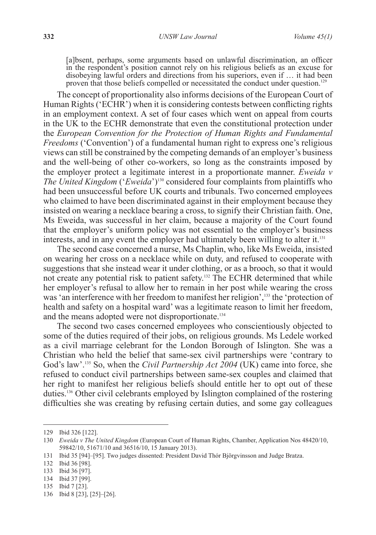[a]bsent, perhaps, some arguments based on unlawful discrimination, an officer in the respondent's position cannot rely on his religious beliefs as an excuse for disobeying lawful orders and directions from his superiors, even if … it had been proven that those beliefs compelled or necessitated the conduct under question.<sup>129</sup>

The concept of proportionality also informs decisions of the European Court of Human Rights ('ECHR') when it is considering contests between conflicting rights in an employment context. A set of four cases which went on appeal from courts in the UK to the ECHR demonstrate that even the constitutional protection under the *European Convention for the Protection of Human Rights and Fundamental Freedoms* ('Convention') of a fundamental human right to express one's religious views can still be constrained by the competing demands of an employer's business and the well-being of other co-workers, so long as the constraints imposed by the employer protect a legitimate interest in a proportionate manner. *Eweida v The United Kingdom* ('*Eweida*')<sup>130</sup> considered four complaints from plaintiffs who had been unsuccessful before UK courts and tribunals. Two concerned employees who claimed to have been discriminated against in their employment because they insisted on wearing a necklace bearing a cross, to signify their Christian faith. One, Ms Eweida, was successful in her claim, because a majority of the Court found that the employer's uniform policy was not essential to the employer's business interests, and in any event the employer had ultimately been willing to alter it.<sup>131</sup>

The second case concerned a nurse, Ms Chaplin, who, like Ms Eweida, insisted on wearing her cross on a necklace while on duty, and refused to cooperate with suggestions that she instead wear it under clothing, or as a brooch, so that it would not create any potential risk to patient safety.132 The ECHR determined that while her employer's refusal to allow her to remain in her post while wearing the cross was 'an interference with her freedom to manifest her religion',<sup>133</sup> the 'protection of health and safety on a hospital ward' was a legitimate reason to limit her freedom, and the means adopted were not disproportionate.<sup>134</sup>

The second two cases concerned employees who conscientiously objected to some of the duties required of their jobs, on religious grounds. Ms Ledele worked as a civil marriage celebrant for the London Borough of Islington. She was a Christian who held the belief that same-sex civil partnerships were 'contrary to God's law'.<sup>135</sup> So, when the *Civil Partnership Act* 2004 (UK) came into force, she refused to conduct civil partnerships between same-sex couples and claimed that her right to manifest her religious beliefs should entitle her to opt out of these duties.136 Other civil celebrants employed by Islington complained of the rostering difficulties she was creating by refusing certain duties, and some gay colleagues

133 Ibid 36 [97].

<sup>129</sup> Ibid 326 [122].

<sup>130</sup> *Eweida v The United Kingdom* (European Court of Human Rights, Chamber, Application Nos 48420/10, 59842/10, 51671/10 and 36516/10, 15 January 2013).

<sup>131</sup> Ibid 35 [94]–[95]. Two judges dissented: President David Thór Björgvinsson and Judge Bratza.

<sup>132</sup> Ibid 36 [98].

<sup>134</sup> Ibid 37 [99].

<sup>135</sup> Ibid 7 [23].

<sup>136</sup> Ibid 8 [23], [25]–[26].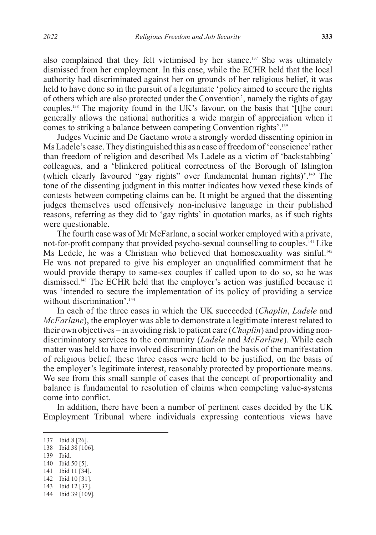also complained that they felt victimised by her stance.137 She was ultimately dismissed from her employment. In this case, while the ECHR held that the local authority had discriminated against her on grounds of her religious belief, it was held to have done so in the pursuit of a legitimate 'policy aimed to secure the rights of others which are also protected under the Convention', namely the rights of gay couples.138 The majority found in the UK's favour, on the basis that '[t]he court generally allows the national authorities a wide margin of appreciation when it comes to striking a balance between competing Convention rights'.139

Judges Vucinic and De Gaetano wrote a strongly worded dissenting opinion in Ms Ladele's case. They distinguished this as a case of freedom of 'conscience' rather than freedom of religion and described Ms Ladele as a victim of 'backstabbing' colleagues, and a 'blinkered political correctness of the Borough of Islington (which clearly favoured "gay rights" over fundamental human rights)'.140 The tone of the dissenting judgment in this matter indicates how vexed these kinds of contests between competing claims can be. It might be argued that the dissenting judges themselves used offensively non-inclusive language in their published reasons, referring as they did to 'gay rights' in quotation marks, as if such rights were questionable.

The fourth case was of Mr McFarlane, a social worker employed with a private, not-for-profit company that provided psycho-sexual counselling to couples.<sup>141</sup> Like Ms Ledele, he was a Christian who believed that homosexuality was sinful.<sup>142</sup> He was not prepared to give his employer an unqualified commitment that he would provide therapy to same-sex couples if called upon to do so, so he was dismissed.143 The ECHR held that the employer's action was justified because it was 'intended to secure the implementation of its policy of providing a service without discrimination<sup>' 144</sup>

In each of the three cases in which the UK succeeded (*Chaplin*, *Ladele* and *McFarlane*), the employer was able to demonstrate a legitimate interest related to their own objectives – in avoiding risk to patient care (*Chaplin*) and providing nondiscriminatory services to the community (*Ladele* and *McFarlane*). While each matter was held to have involved discrimination on the basis of the manifestation of religious belief, these three cases were held to be justified, on the basis of the employer's legitimate interest, reasonably protected by proportionate means. We see from this small sample of cases that the concept of proportionality and balance is fundamental to resolution of claims when competing value-systems come into conflict.

In addition, there have been a number of pertinent cases decided by the UK Employment Tribunal where individuals expressing contentious views have

- 139 Ibid.
- 140 Ibid 50 [5].
- 141 Ibid 11 [34].
- 142 Ibid 10 [31].
- 143 Ibid 12 [37].
- 144 Ibid 39 [109].

<sup>137</sup> Ibid 8 [26].

<sup>138</sup> Ibid 38 [106].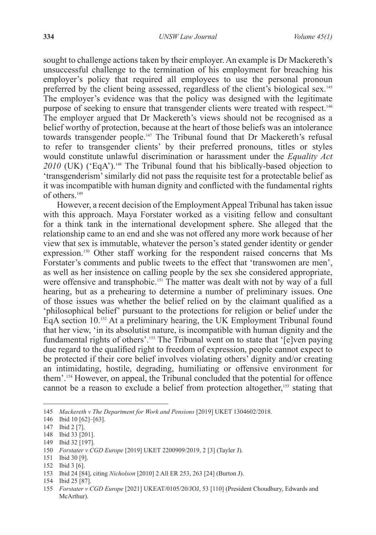sought to challenge actions taken by their employer. An example is Dr Mackereth's unsuccessful challenge to the termination of his employment for breaching his employer's policy that required all employees to use the personal pronoun preferred by the client being assessed, regardless of the client's biological sex.<sup>145</sup> The employer's evidence was that the policy was designed with the legitimate purpose of seeking to ensure that transgender clients were treated with respect.146 The employer argued that Dr Mackereth's views should not be recognised as a belief worthy of protection, because at the heart of those beliefs was an intolerance towards transgender people.147 The Tribunal found that Dr Mackereth's refusal to refer to transgender clients' by their preferred pronouns, titles or styles would constitute unlawful discrimination or harassment under the *Equality Act*  2010 (UK) ('EqA').<sup>148</sup> The Tribunal found that his biblically-based objection to 'transgenderism' similarly did not pass the requisite test for a protectable belief as it was incompatible with human dignity and conflicted with the fundamental rights of others.149

However, a recent decision of the Employment Appeal Tribunal has taken issue with this approach. Maya Forstater worked as a visiting fellow and consultant for a think tank in the international development sphere. She alleged that the relationship came to an end and she was not offered any more work because of her view that sex is immutable, whatever the person's stated gender identity or gender expression.150 Other staff working for the respondent raised concerns that Ms Forstater's comments and public tweets to the effect that 'transwomen are men', as well as her insistence on calling people by the sex she considered appropriate, were offensive and transphobic.<sup>151</sup> The matter was dealt with not by way of a full hearing, but as a prehearing to determine a number of preliminary issues. One of those issues was whether the belief relied on by the claimant qualified as a 'philosophical belief' pursuant to the protections for religion or belief under the EqA section 10.152 At a preliminary hearing, the UK Employment Tribunal found that her view, 'in its absolutist nature, is incompatible with human dignity and the fundamental rights of others'.153 The Tribunal went on to state that '[e]ven paying due regard to the qualified right to freedom of expression, people cannot expect to be protected if their core belief involves violating others' dignity and/or creating an intimidating, hostile, degrading, humiliating or offensive environment for them'.154 However, on appeal, the Tribunal concluded that the potential for offence cannot be a reason to exclude a belief from protection altogether,<sup>155</sup> stating that

151 Ibid 30 [9].

<sup>145</sup> *Mackereth v The Department for Work and Pensions* [2019] UKET 1304602/2018.

<sup>146</sup> Ibid 10 [62]–[63].

<sup>147</sup> Ibid 2 [7].

<sup>148</sup> Ibid 33 [201].

<sup>149</sup> Ibid 32 [197].

<sup>150</sup> *Forstater v CGD Europe* [2019] UKET 2200909/2019, 2 [3] (Tayler J).

<sup>152</sup> Ibid 3 [6].

<sup>153</sup> Ibid 24 [84], citing *Nicholson* [2010] 2 All ER 253, 263 [24] (Burton J).

<sup>154</sup> Ibid 25 [87].

<sup>155</sup> *Forstater v CGD Europe* [2021] UKEAT/0105/20/JOJ, 53 [110] (President Choudhury, Edwards and McArthur).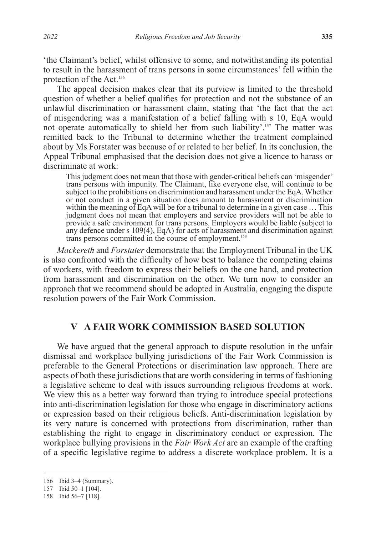'the Claimant's belief, whilst offensive to some, and notwithstanding its potential to result in the harassment of trans persons in some circumstances' fell within the protection of the Act.156

The appeal decision makes clear that its purview is limited to the threshold question of whether a belief qualifies for protection and not the substance of an unlawful discrimination or harassment claim, stating that 'the fact that the act of misgendering was a manifestation of a belief falling with s 10, EqA would not operate automatically to shield her from such liability'.157 The matter was remitted back to the Tribunal to determine whether the treatment complained about by Ms Forstater was because of or related to her belief. In its conclusion, the Appeal Tribunal emphasised that the decision does not give a licence to harass or discriminate at work:

This judgment does not mean that those with gender-critical beliefs can 'misgender' trans persons with impunity. The Claimant, like everyone else, will continue to be subject to the prohibitions on discrimination and harassment under the EqA. Whether or not conduct in a given situation does amount to harassment or discrimination within the meaning of EqA will be for a tribunal to determine in a given case ... This judgment does not mean that employers and service providers will not be able to provide a safe environment for trans persons. Employers would be liable (subject to any defence under s 109(4), EqA) for acts of harassment and discrimination against trans persons committed in the course of employment.<sup>158</sup>

*Mackereth* and *Forstater* demonstrate that the Employment Tribunal in the UK is also confronted with the difficulty of how best to balance the competing claims of workers, with freedom to express their beliefs on the one hand, and protection from harassment and discrimination on the other. We turn now to consider an approach that we recommend should be adopted in Australia, engaging the dispute resolution powers of the Fair Work Commission.

# **V A FAIR WORK COMMISSION BASED SOLUTION**

We have argued that the general approach to dispute resolution in the unfair dismissal and workplace bullying jurisdictions of the Fair Work Commission is preferable to the General Protections or discrimination law approach. There are aspects of both these jurisdictions that are worth considering in terms of fashioning a legislative scheme to deal with issues surrounding religious freedoms at work. We view this as a better way forward than trying to introduce special protections into anti-discrimination legislation for those who engage in discriminatory actions or expression based on their religious beliefs. Anti-discrimination legislation by its very nature is concerned with protections from discrimination, rather than establishing the right to engage in discriminatory conduct or expression. The workplace bullying provisions in the *Fair Work Act* are an example of the crafting of a specific legislative regime to address a discrete workplace problem. It is a

<sup>156</sup> Ibid 3–4 (Summary).

<sup>157</sup> Ibid 50–1 [104].

<sup>158</sup> Ibid 56–7 [118].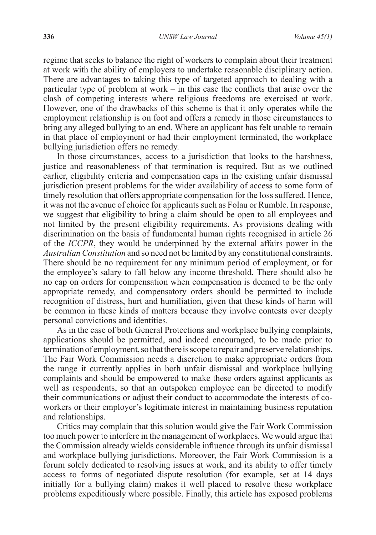regime that seeks to balance the right of workers to complain about their treatment at work with the ability of employers to undertake reasonable disciplinary action. There are advantages to taking this type of targeted approach to dealing with a particular type of problem at work – in this case the conflicts that arise over the clash of competing interests where religious freedoms are exercised at work. However, one of the drawbacks of this scheme is that it only operates while the employment relationship is on foot and offers a remedy in those circumstances to bring any alleged bullying to an end. Where an applicant has felt unable to remain in that place of employment or had their employment terminated, the workplace bullying jurisdiction offers no remedy.

In those circumstances, access to a jurisdiction that looks to the harshness, justice and reasonableness of that termination is required. But as we outlined earlier, eligibility criteria and compensation caps in the existing unfair dismissal jurisdiction present problems for the wider availability of access to some form of timely resolution that offers appropriate compensation for the loss suffered. Hence, it was not the avenue of choice for applicants such as Folau or Rumble. In response, we suggest that eligibility to bring a claim should be open to all employees and not limited by the present eligibility requirements. As provisions dealing with discrimination on the basis of fundamental human rights recognised in article 26 of the *ICCPR*, they would be underpinned by the external affairs power in the *Australian Constitution* and so need not be limited by any constitutional constraints. There should be no requirement for any minimum period of employment, or for the employee's salary to fall below any income threshold. There should also be no cap on orders for compensation when compensation is deemed to be the only appropriate remedy, and compensatory orders should be permitted to include recognition of distress, hurt and humiliation, given that these kinds of harm will be common in these kinds of matters because they involve contests over deeply personal convictions and identities.

As in the case of both General Protections and workplace bullying complaints, applications should be permitted, and indeed encouraged, to be made prior to termination of employment, so that there is scope to repair and preserve relationships. The Fair Work Commission needs a discretion to make appropriate orders from the range it currently applies in both unfair dismissal and workplace bullying complaints and should be empowered to make these orders against applicants as well as respondents, so that an outspoken employee can be directed to modify their communications or adjust their conduct to accommodate the interests of coworkers or their employer's legitimate interest in maintaining business reputation and relationships.

Critics may complain that this solution would give the Fair Work Commission too much power to interfere in the management of workplaces. We would argue that the Commission already wields considerable influence through its unfair dismissal and workplace bullying jurisdictions. Moreover, the Fair Work Commission is a forum solely dedicated to resolving issues at work, and its ability to offer timely access to forms of negotiated dispute resolution (for example, set at 14 days initially for a bullying claim) makes it well placed to resolve these workplace problems expeditiously where possible. Finally, this article has exposed problems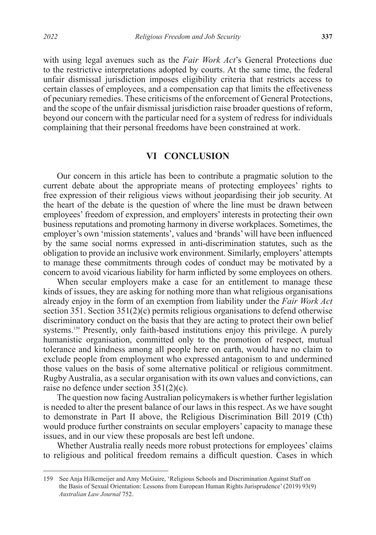with using legal avenues such as the *Fair Work Act*'s General Protections due to the restrictive interpretations adopted by courts. At the same time, the federal unfair dismissal jurisdiction imposes eligibility criteria that restricts access to certain classes of employees, and a compensation cap that limits the effectiveness of pecuniary remedies. These criticisms of the enforcement of General Protections, and the scope of the unfair dismissal jurisdiction raise broader questions of reform, beyond our concern with the particular need for a system of redress for individuals complaining that their personal freedoms have been constrained at work.

#### **VI CONCLUSION**

Our concern in this article has been to contribute a pragmatic solution to the current debate about the appropriate means of protecting employees' rights to free expression of their religious views without jeopardising their job security. At the heart of the debate is the question of where the line must be drawn between employees' freedom of expression, and employers' interests in protecting their own business reputations and promoting harmony in diverse workplaces. Sometimes, the employer's own 'mission statements', values and 'brands' will have been influenced by the same social norms expressed in anti-discrimination statutes, such as the obligation to provide an inclusive work environment. Similarly, employers' attempts to manage these commitments through codes of conduct may be motivated by a concern to avoid vicarious liability for harm inflicted by some employees on others.

When secular employers make a case for an entitlement to manage these kinds of issues, they are asking for nothing more than what religious organisations already enjoy in the form of an exemption from liability under the *Fair Work Act* section 351. Section 351(2)(c) permits religious organisations to defend otherwise discriminatory conduct on the basis that they are acting to protect their own belief systems.<sup>159</sup> Presently, only faith-based institutions enjoy this privilege. A purely humanistic organisation, committed only to the promotion of respect, mutual tolerance and kindness among all people here on earth, would have no claim to exclude people from employment who expressed antagonism to and undermined those values on the basis of some alternative political or religious commitment. Rugby Australia, as a secular organisation with its own values and convictions, can raise no defence under section 351(2)(c).

The question now facing Australian policymakers is whether further legislation is needed to alter the present balance of our laws in this respect. As we have sought to demonstrate in Part II above, the Religious Discrimination Bill 2019 (Cth) would produce further constraints on secular employers' capacity to manage these issues, and in our view these proposals are best left undone.

Whether Australia really needs more robust protections for employees' claims to religious and political freedom remains a difficult question. Cases in which

<sup>159</sup> See Anja Hilkemeijer and Amy McGuire, 'Religious Schools and Discrimination Against Staff on the Basis of Sexual Orientation: Lessons from European Human Rights Jurisprudence' (2019) 93(9) *Australian Law Journal* 752.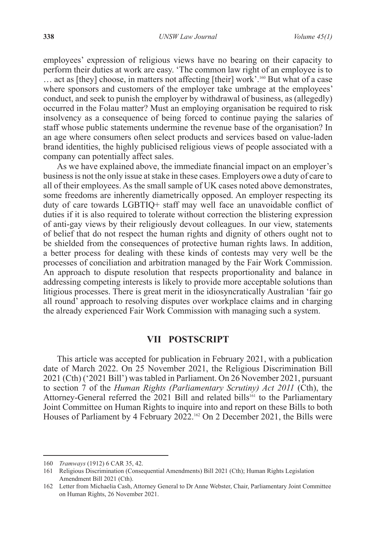employees' expression of religious views have no bearing on their capacity to perform their duties at work are easy. 'The common law right of an employee is to ... act as [they] choose, in matters not affecting [their] work'.<sup>160</sup> But what of a case where sponsors and customers of the employer take umbrage at the employees' conduct, and seek to punish the employer by withdrawal of business, as (allegedly) occurred in the Folau matter? Must an employing organisation be required to risk insolvency as a consequence of being forced to continue paying the salaries of staff whose public statements undermine the revenue base of the organisation? In an age where consumers often select products and services based on value-laden brand identities, the highly publicised religious views of people associated with a company can potentially affect sales.

As we have explained above, the immediate financial impact on an employer's business is not the only issue at stake in these cases. Employers owe a duty of care to all of their employees. As the small sample of UK cases noted above demonstrates, some freedoms are inherently diametrically opposed. An employer respecting its duty of care towards LGBTIQ+ staff may well face an unavoidable conflict of duties if it is also required to tolerate without correction the blistering expression of anti-gay views by their religiously devout colleagues. In our view, statements of belief that do not respect the human rights and dignity of others ought not to be shielded from the consequences of protective human rights laws. In addition, a better process for dealing with these kinds of contests may very well be the processes of conciliation and arbitration managed by the Fair Work Commission. An approach to dispute resolution that respects proportionality and balance in addressing competing interests is likely to provide more acceptable solutions than litigious processes. There is great merit in the idiosyncratically Australian 'fair go all round' approach to resolving disputes over workplace claims and in charging the already experienced Fair Work Commission with managing such a system.

### **VII POSTSCRIPT**

This article was accepted for publication in February 2021, with a publication date of March 2022. On 25 November 2021, the Religious Discrimination Bill 2021 (Cth) ('2021 Bill') was tabled in Parliament. On 26 November 2021, pursuant to section 7 of the *Human Rights (Parliamentary Scrutiny) Act 2011* (Cth), the Attorney-General referred the 2021 Bill and related bills<sup>161</sup> to the Parliamentary Joint Committee on Human Rights to inquire into and report on these Bills to both Houses of Parliament by 4 February 2022.<sup>162</sup> On 2 December 2021, the Bills were

<sup>160</sup> *Tramways* (1912) 6 CAR 35, 42.

<sup>161</sup> Religious Discrimination (Consequential Amendments) Bill 2021 (Cth); Human Rights Legislation Amendment Bill 2021 (Cth).

<sup>162</sup> Letter from Michaelia Cash, Attorney General to Dr Anne Webster, Chair, Parliamentary Joint Committee on Human Rights, 26 November 2021.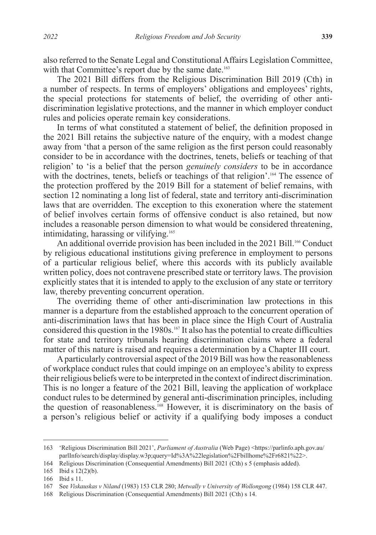also referred to the Senate Legal and Constitutional Affairs Legislation Committee, with that Committee's report due by the same date.<sup>163</sup>

The 2021 Bill differs from the Religious Discrimination Bill 2019 (Cth) in a number of respects. In terms of employers' obligations and employees' rights, the special protections for statements of belief, the overriding of other antidiscrimination legislative protections, and the manner in which employer conduct rules and policies operate remain key considerations.

In terms of what constituted a statement of belief, the definition proposed in the 2021 Bill retains the subjective nature of the enquiry, with a modest change away from 'that a person of the same religion as the first person could reasonably consider to be in accordance with the doctrines, tenets, beliefs or teaching of that religion' to 'is a belief that the person *genuinely considers* to be in accordance with the doctrines, tenets, beliefs or teachings of that religion'.<sup>164</sup> The essence of the protection proffered by the 2019 Bill for a statement of belief remains, with section 12 nominating a long list of federal, state and territory anti-discrimination laws that are overridden. The exception to this exoneration where the statement of belief involves certain forms of offensive conduct is also retained, but now includes a reasonable person dimension to what would be considered threatening, intimidating, harassing or vilifying.<sup>165</sup>

An additional override provision has been included in the 2021 Bill.<sup>166</sup> Conduct by religious educational institutions giving preference in employment to persons of a particular religious belief, where this accords with its publicly available written policy, does not contravene prescribed state or territory laws. The provision explicitly states that it is intended to apply to the exclusion of any state or territory law, thereby preventing concurrent operation.

The overriding theme of other anti-discrimination law protections in this manner is a departure from the established approach to the concurrent operation of anti-discrimination laws that has been in place since the High Court of Australia considered this question in the 1980s.<sup>167</sup> It also has the potential to create difficulties for state and territory tribunals hearing discrimination claims where a federal matter of this nature is raised and requires a determination by a Chapter III court.

A particularly controversial aspect of the 2019 Bill was how the reasonableness of workplace conduct rules that could impinge on an employee's ability to express their religious beliefs were to be interpreted in the context of indirect discrimination. This is no longer a feature of the 2021 Bill, leaving the application of workplace conduct rules to be determined by general anti-discrimination principles, including the question of reasonableness.<sup>168</sup> However, it is discriminatory on the basis of a person's religious belief or activity if a qualifying body imposes a conduct

<sup>163</sup> 'Religious Discrimination Bill 2021', *Parliament of Australia* (Web Page) <https://parlinfo.aph.gov.au/ parlInfo/search/display/display.w3p;query=Id%3A%22legislation%2Fbillhome%2Fr6821%22>.

<sup>164</sup> Religious Discrimination (Consequential Amendments) Bill 2021 (Cth) s 5 (emphasis added).

<sup>165</sup> Ibid s 12(2)(b).

<sup>166</sup> Ibid s 11.

<sup>167</sup> See *Viskauskas v Niland* (1983) 153 CLR 280; *Metwally v University of Wollongong* (1984) 158 CLR 447.

<sup>168</sup> Religious Discrimination (Consequential Amendments) Bill 2021 (Cth) s 14.